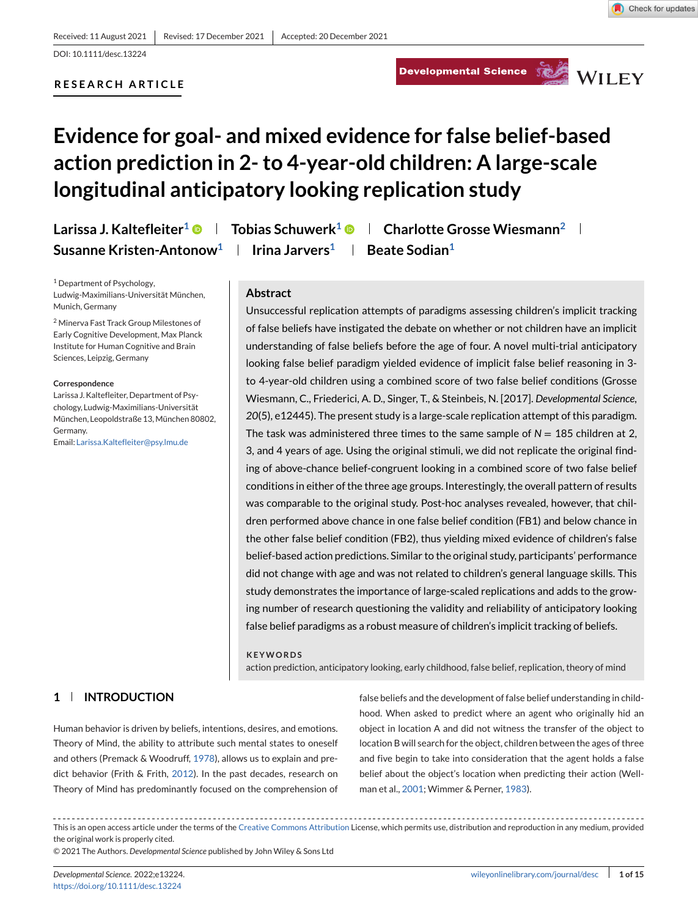**RESEARCH ARTICLE**

Developmental Science SAWILEY

# **Evidence for goal- and mixed evidence for false belief-based action prediction in 2- to 4-year-old children: A large-scale longitudinal anticipatory looking replication study**

<sup>1</sup> Department of Psychology, Ludwig-Maximilians-Universität München, Munich, Germany

<sup>2</sup> Minerva Fast Track Group Milestones of Early Cognitive Development, Max Planck Institute for Human Cognitive and Brain Sciences, Leipzig, Germany

#### **Correspondence**

Larissa J. Kaltefleiter, Department of Psychology, Ludwig-Maximilians-Universität München, Leopoldstraße 13,München 80802, Germany. Email: [Larissa.Kaltefleiter@psy.lmu.de](mailto:Larissa.Kaltefleiter@psy.lmu.de)

**Larissa J. Kaltefleiter<sup>1</sup>**  $\bullet$  **| Tobias Schuwerk<sup>1</sup>**  $\bullet$  **| Charlotte Grosse Wiesmann<sup>2</sup> | Susanne Kristen-Antonow<sup>1</sup> | Irina Jarvers<sup>1</sup> | Beate Sodian<sup>1</sup>** 

# **Abstract**

Unsuccessful replication attempts of paradigms assessing children's implicit tracking of false beliefs have instigated the debate on whether or not children have an implicit understanding of false beliefs before the age of four. A novel multi-trial anticipatory looking false belief paradigm yielded evidence of implicit false belief reasoning in 3 to 4-year-old children using a combined score of two false belief conditions (Grosse Wiesmann, C., Friederici, A. D., Singer, T., & Steinbeis, N. [2017]. *Developmental Science*, *20*(5), e12445). The present study is a large-scale replication attempt of this paradigm. The task was administered three times to the same sample of *N* = 185 children at 2, 3, and 4 years of age. Using the original stimuli, we did not replicate the original finding of above-chance belief-congruent looking in a combined score of two false belief conditions in either of the three age groups. Interestingly, the overall pattern of results was comparable to the original study. Post-hoc analyses revealed, however, that children performed above chance in one false belief condition (FB1) and below chance in the other false belief condition (FB2), thus yielding mixed evidence of children's false belief-based action predictions. Similar to the original study, participants' performance did not change with age and was not related to children's general language skills. This study demonstrates the importance of large-scaled replications and adds to the growing number of research questioning the validity and reliability of anticipatory looking false belief paradigms as a robust measure of children's implicit tracking of beliefs.

#### **KEYWORDS**

action prediction, anticipatory looking, early childhood, false belief, replication, theory of mind

# **1 INTRODUCTION**

Human behavior is driven by beliefs, intentions, desires, and emotions. Theory of Mind, the ability to attribute such mental states to oneself and others (Premack & Woodruff, [1978\)](#page-13-0), allows us to explain and predict behavior (Frith & Frith, [2012\)](#page-13-0). In the past decades, research on Theory of Mind has predominantly focused on the comprehension of false beliefs and the development of false belief understanding in childhood. When asked to predict where an agent who originally hid an object in location A and did not witness the transfer of the object to location B will search for the object, children between the ages of three and five begin to take into consideration that the agent holds a false belief about the object's location when predicting their action (Wellman et al., [2001;](#page-14-0) Wimmer & Perner, [1983\)](#page-14-0).

This is an open access article under the terms of the [Creative Commons Attribution](http://creativecommons.org/licenses/by/4.0/) License, which permits use, distribution and reproduction in any medium, provided the original work is properly cited.

<sup>© 2021</sup> The Authors. *Developmental Science* published by John Wiley & Sons Ltd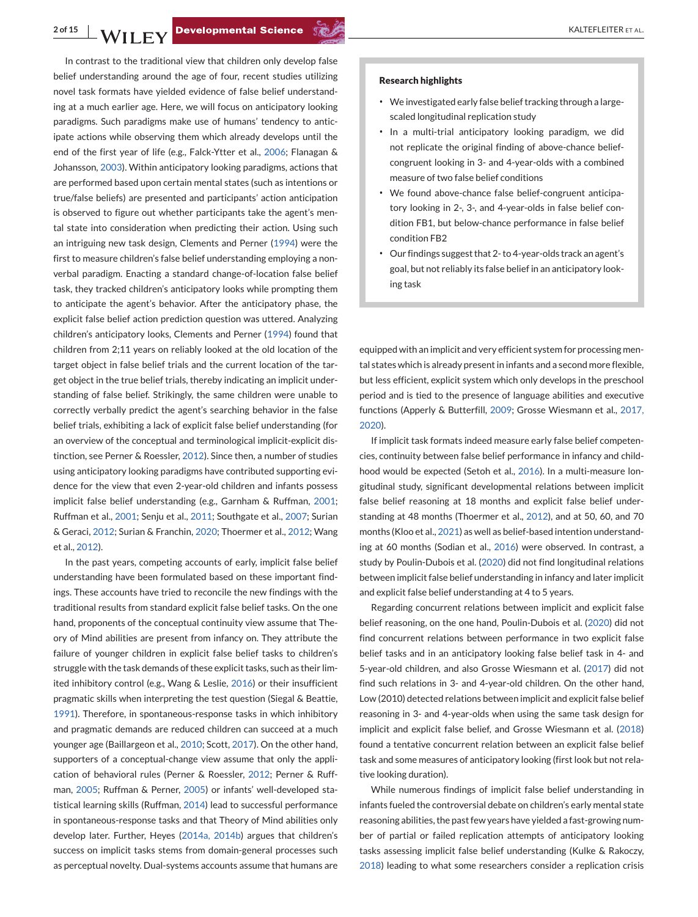In contrast to the traditional view that children only develop false belief understanding around the age of four, recent studies utilizing novel task formats have yielded evidence of false belief understanding at a much earlier age. Here, we will focus on anticipatory looking paradigms. Such paradigms make use of humans' tendency to anticipate actions while observing them which already develops until the end of the first year of life (e.g., Falck-Ytter et al., [2006;](#page-12-0) Flanagan & Johansson, [2003\)](#page-12-0). Within anticipatory looking paradigms, actions that are performed based upon certain mental states (such as intentions or true/false beliefs) are presented and participants' action anticipation is observed to figure out whether participants take the agent's mental state into consideration when predicting their action. Using such an intriguing new task design, Clements and Perner [\(1994\)](#page-12-0) were the first to measure children's false belief understanding employing a nonverbal paradigm. Enacting a standard change-of-location false belief task, they tracked children's anticipatory looks while prompting them to anticipate the agent's behavior. After the anticipatory phase, the explicit false belief action prediction question was uttered. Analyzing children's anticipatory looks, Clements and Perner [\(1994\)](#page-12-0) found that children from 2;11 years on reliably looked at the old location of the target object in false belief trials and the current location of the target object in the true belief trials, thereby indicating an implicit understanding of false belief. Strikingly, the same children were unable to correctly verbally predict the agent's searching behavior in the false belief trials, exhibiting a lack of explicit false belief understanding (for an overview of the conceptual and terminological implicit-explicit distinction, see Perner & Roessler, [2012\)](#page-13-0). Since then, a number of studies using anticipatory looking paradigms have contributed supporting evidence for the view that even 2-year-old children and infants possess implicit false belief understanding (e.g., Garnham & Ruffman, [2001;](#page-13-0) Ruffman et al., [2001;](#page-13-0) Senju et al., [2011;](#page-13-0) Southgate et al., [2007;](#page-14-0) Surian & Geraci, [2012;](#page-14-0) Surian & Franchin, [2020;](#page-14-0) Thoermer et al., [2012;](#page-14-0) Wang et al., [2012\)](#page-14-0).

In the past years, competing accounts of early, implicit false belief understanding have been formulated based on these important findings. These accounts have tried to reconcile the new findings with the traditional results from standard explicit false belief tasks. On the one hand, proponents of the conceptual continuity view assume that Theory of Mind abilities are present from infancy on. They attribute the failure of younger children in explicit false belief tasks to children's struggle with the task demands of these explicit tasks, such as their limited inhibitory control (e.g., Wang & Leslie, [2016\)](#page-14-0) or their insufficient pragmatic skills when interpreting the test question (Siegal & Beattie, [1991\)](#page-13-0). Therefore, in spontaneous-response tasks in which inhibitory and pragmatic demands are reduced children can succeed at a much younger age (Baillargeon et al., [2010;](#page-12-0) Scott, [2017\)](#page-13-0). On the other hand, supporters of a conceptual-change view assume that only the application of behavioral rules (Perner & Roessler, [2012;](#page-13-0) Perner & Ruffman, [2005;](#page-13-0) Ruffman & Perner, [2005\)](#page-13-0) or infants' well-developed statistical learning skills (Ruffman, [2014\)](#page-13-0) lead to successful performance in spontaneous-response tasks and that Theory of Mind abilities only develop later. Further, Heyes [\(2014a, 2014b\)](#page-13-0) argues that children's success on implicit tasks stems from domain-general processes such as perceptual novelty. Dual-systems accounts assume that humans are

#### **Research highlights**

- ∙ We investigated early false belief tracking through a largescaled longitudinal replication study
- ∙ In a multi-trial anticipatory looking paradigm, we did not replicate the original finding of above-chance beliefcongruent looking in 3- and 4-year-olds with a combined measure of two false belief conditions
- ∙ We found above-chance false belief-congruent anticipatory looking in 2-, 3-, and 4-year-olds in false belief condition FB1, but below-chance performance in false belief condition FB2
- ∙ Our findings suggest that 2- to 4-year-olds track an agent's goal, but not reliably its false belief in an anticipatory looking task

equipped with an implicit and very efficient system for processing mental states which is already present in infants and a second more flexible, but less efficient, explicit system which only develops in the preschool period and is tied to the presence of language abilities and executive functions (Apperly & Butterfill, [2009;](#page-12-0) Grosse Wiesmann et al., [2017,](#page-13-0) [2020\)](#page-13-0).

If implicit task formats indeed measure early false belief competencies, continuity between false belief performance in infancy and childhood would be expected (Setoh et al., [2016\)](#page-13-0). In a multi-measure longitudinal study, significant developmental relations between implicit false belief reasoning at 18 months and explicit false belief understanding at 48 months (Thoermer et al., [2012\)](#page-14-0), and at 50, 60, and 70 months (Kloo et al., [2021\)](#page-13-0) as well as belief-based intention understanding at 60 months (Sodian et al., [2016\)](#page-14-0) were observed. In contrast, a study by Poulin-Dubois et al. [\(2020\)](#page-13-0) did not find longitudinal relations between implicit false belief understanding in infancy and later implicit and explicit false belief understanding at 4 to 5 years.

Regarding concurrent relations between implicit and explicit false belief reasoning, on the one hand, Poulin-Dubois et al. [\(2020\)](#page-13-0) did not find concurrent relations between performance in two explicit false belief tasks and in an anticipatory looking false belief task in 4- and 5-year-old children, and also Grosse Wiesmann et al. [\(2017\)](#page-13-0) did not find such relations in 3- and 4-year-old children. On the other hand, Low (2010) detected relations between implicit and explicit false belief reasoning in 3- and 4-year-olds when using the same task design for implicit and explicit false belief, and Grosse Wiesmann et al. [\(2018\)](#page-13-0) found a tentative concurrent relation between an explicit false belief task and some measures of anticipatory looking (first look but not relative looking duration).

While numerous findings of implicit false belief understanding in infants fueled the controversial debate on children's early mental state reasoning abilities, the past few years have yielded a fast-growing number of partial or failed replication attempts of anticipatory looking tasks assessing implicit false belief understanding (Kulke & Rakoczy, [2018\)](#page-13-0) leading to what some researchers consider a replication crisis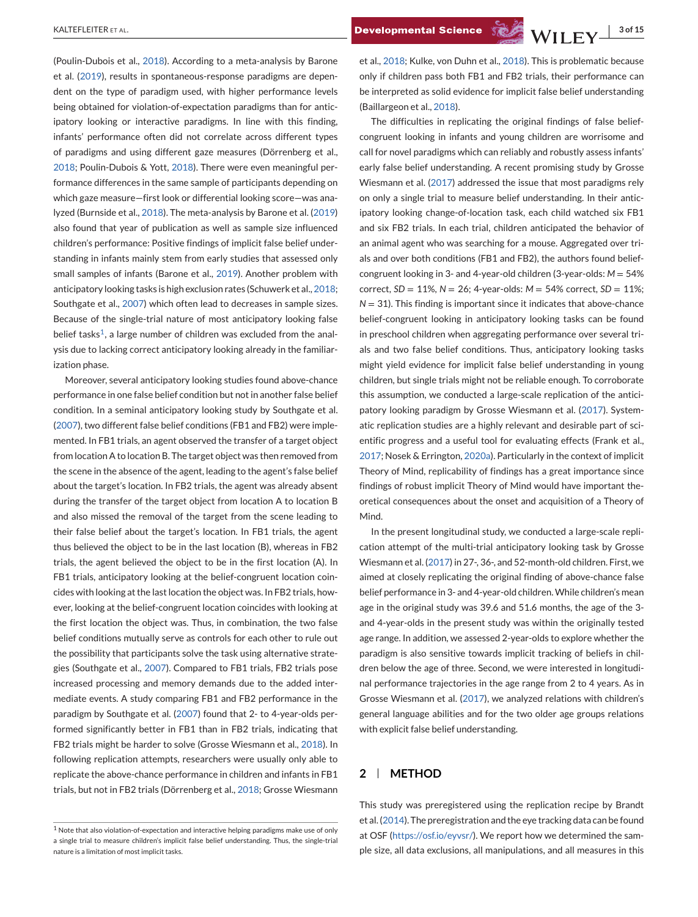(Poulin-Dubois et al., [2018\)](#page-13-0). According to a meta-analysis by Barone et al. [\(2019\)](#page-12-0), results in spontaneous-response paradigms are dependent on the type of paradigm used, with higher performance levels being obtained for violation-of-expectation paradigms than for anticipatory looking or interactive paradigms. In line with this finding, infants' performance often did not correlate across different types of paradigms and using different gaze measures (Dörrenberg et al., [2018;](#page-12-0) Poulin-Dubois & Yott, [2018\)](#page-13-0). There were even meaningful performance differences in the same sample of participants depending on which gaze measure—first look or differential looking score—was analyzed (Burnside et al., [2018\)](#page-12-0). The meta-analysis by Barone et al. [\(2019\)](#page-12-0) also found that year of publication as well as sample size influenced children's performance: Positive findings of implicit false belief understanding in infants mainly stem from early studies that assessed only small samples of infants (Barone et al., [2019\)](#page-12-0). Another problem with anticipatory looking tasks is high exclusion rates (Schuwerk et al., [2018;](#page-13-0) Southgate et al., [2007\)](#page-14-0) which often lead to decreases in sample sizes. Because of the single-trial nature of most anticipatory looking false belief tasks<sup>1</sup>, a large number of children was excluded from the analysis due to lacking correct anticipatory looking already in the familiarization phase.

Moreover, several anticipatory looking studies found above-chance performance in one false belief condition but not in another false belief condition. In a seminal anticipatory looking study by Southgate et al. [\(2007\)](#page-14-0), two different false belief conditions (FB1 and FB2) were implemented. In FB1 trials, an agent observed the transfer of a target object from location A to location B. The target object was then removed from the scene in the absence of the agent, leading to the agent's false belief about the target's location. In FB2 trials, the agent was already absent during the transfer of the target object from location A to location B and also missed the removal of the target from the scene leading to their false belief about the target's location. In FB1 trials, the agent thus believed the object to be in the last location (B), whereas in FB2 trials, the agent believed the object to be in the first location (A). In FB1 trials, anticipatory looking at the belief-congruent location coincides with looking at the last location the object was. In FB2 trials, however, looking at the belief-congruent location coincides with looking at the first location the object was. Thus, in combination, the two false belief conditions mutually serve as controls for each other to rule out the possibility that participants solve the task using alternative strategies (Southgate et al., [2007\)](#page-14-0). Compared to FB1 trials, FB2 trials pose increased processing and memory demands due to the added intermediate events. A study comparing FB1 and FB2 performance in the paradigm by Southgate et al. [\(2007\)](#page-14-0) found that 2- to 4-year-olds performed significantly better in FB1 than in FB2 trials, indicating that FB2 trials might be harder to solve (Grosse Wiesmann et al., [2018\)](#page-13-0). In following replication attempts, researchers were usually only able to replicate the above-chance performance in children and infants in FB1 trials, but not in FB2 trials (Dörrenberg et al., [2018;](#page-12-0) Grosse Wiesmann

et al., [2018;](#page-13-0) Kulke, von Duhn et al., [2018\)](#page-13-0). This is problematic because only if children pass both FB1 and FB2 trials, their performance can be interpreted as solid evidence for implicit false belief understanding (Baillargeon et al., [2018\)](#page-12-0).

The difficulties in replicating the original findings of false beliefcongruent looking in infants and young children are worrisome and call for novel paradigms which can reliably and robustly assess infants' early false belief understanding. A recent promising study by Grosse Wiesmann et al. [\(2017\)](#page-13-0) addressed the issue that most paradigms rely on only a single trial to measure belief understanding. In their anticipatory looking change-of-location task, each child watched six FB1 and six FB2 trials. In each trial, children anticipated the behavior of an animal agent who was searching for a mouse. Aggregated over trials and over both conditions (FB1 and FB2), the authors found beliefcongruent looking in 3- and 4-year-old children (3-year-olds: *M* = 54% correct, *SD* = 11%, *N* = 26; 4-year-olds: *M* = 54% correct, *SD* = 11%;  $N = 31$ ). This finding is important since it indicates that above-chance belief-congruent looking in anticipatory looking tasks can be found in preschool children when aggregating performance over several trials and two false belief conditions. Thus, anticipatory looking tasks might yield evidence for implicit false belief understanding in young children, but single trials might not be reliable enough. To corroborate this assumption, we conducted a large-scale replication of the anticipatory looking paradigm by Grosse Wiesmann et al. [\(2017\)](#page-13-0). Systematic replication studies are a highly relevant and desirable part of scientific progress and a useful tool for evaluating effects (Frank et al., [2017;](#page-12-0) Nosek & Errington, [2020a\)](#page-13-0). Particularly in the context of implicit Theory of Mind, replicability of findings has a great importance since findings of robust implicit Theory of Mind would have important theoretical consequences about the onset and acquisition of a Theory of Mind.

In the present longitudinal study, we conducted a large-scale replication attempt of the multi-trial anticipatory looking task by Grosse Wiesmann et al. [\(2017\)](#page-13-0) in 27-, 36-, and 52-month-old children. First, we aimed at closely replicating the original finding of above-chance false belief performance in 3- and 4-year-old children.While children's mean age in the original study was 39.6 and 51.6 months, the age of the 3 and 4-year-olds in the present study was within the originally tested age range. In addition, we assessed 2-year-olds to explore whether the paradigm is also sensitive towards implicit tracking of beliefs in children below the age of three. Second, we were interested in longitudinal performance trajectories in the age range from 2 to 4 years. As in Grosse Wiesmann et al. [\(2017\)](#page-13-0), we analyzed relations with children's general language abilities and for the two older age groups relations with explicit false belief understanding.

# **2 METHOD**

This study was preregistered using the replication recipe by Brandt et al. [\(2014\)](#page-12-0). The preregistration and the eye tracking data can be found at OSF [\(https://osf.io/eyvsr/\)](https://osf.io/eyvsr/). We report how we determined the sample size, all data exclusions, all manipulations, and all measures in this

<sup>1</sup> Note that also violation-of-expectation and interactive helping paradigms make use of only a single trial to measure children's implicit false belief understanding. Thus, the single-trial nature is a limitation of most implicit tasks.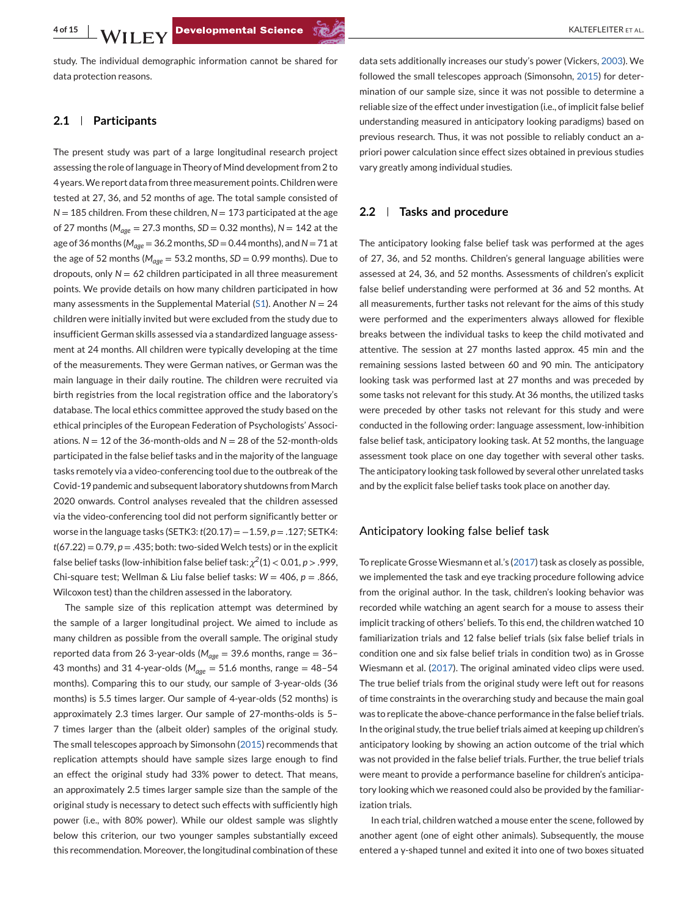study. The individual demographic information cannot be shared for data protection reasons.

#### **2.1 Participants**

The present study was part of a large longitudinal research project assessing the role of language in Theory of Mind development from 2 to 4 years.We report data from three measurement points. Children were tested at 27, 36, and 52 months of age. The total sample consisted of  $N = 185$  children. From these children,  $N = 173$  participated at the age of 27 months (*Mage* = 27.3 months, *SD* = 0.32 months), *N* = 142 at the age of 36 months (*Mage* = 36.2 months, *SD* = 0.44 months), and*N* = 71 at the age of 52 months ( $M_{age} = 53.2$  months,  $SD = 0.99$  months). Due to dropouts, only  $N = 62$  children participated in all three measurement points. We provide details on how many children participated in how many assessments in the Supplemental Material (S1). Another  $N = 24$ children were initially invited but were excluded from the study due to insufficient German skills assessed via a standardized language assessment at 24 months. All children were typically developing at the time of the measurements. They were German natives, or German was the main language in their daily routine. The children were recruited via birth registries from the local registration office and the laboratory's database. The local ethics committee approved the study based on the ethical principles of the European Federation of Psychologists' Associations. *N* = 12 of the 36-month-olds and *N* = 28 of the 52-month-olds participated in the false belief tasks and in the majority of the language tasks remotely via a video-conferencing tool due to the outbreak of the Covid-19 pandemic and subsequent laboratory shutdowns from March 2020 onwards. Control analyses revealed that the children assessed via the video-conferencing tool did not perform significantly better or worse in the language tasks (SETK3: *t*(20.17) = −1.59, *p* = .127; SETK4:  $t(67.22) = 0.79$ ,  $p = .435$ ; both: two-sided Welch tests) or in the explicit false belief tasks (low-inhibition false belief task:  $\chi^2(1)$  < 0.01,  $p > .999$ , Chi-square test; Wellman & Liu false belief tasks:  $W = 406$ ,  $p = .866$ , Wilcoxon test) than the children assessed in the laboratory.

The sample size of this replication attempt was determined by the sample of a larger longitudinal project. We aimed to include as many children as possible from the overall sample. The original study reported data from 26 3-year-olds (*Mage* = 39.6 months, range = 36– 43 months) and 31 4-year-olds ( $M_{age} = 51.6$  months, range = 48-54 months). Comparing this to our study, our sample of 3-year-olds (36 months) is 5.5 times larger. Our sample of 4-year-olds (52 months) is approximately 2.3 times larger. Our sample of 27-months-olds is 5– 7 times larger than the (albeit older) samples of the original study. The small telescopes approach by Simonsohn [\(2015\)](#page-13-0) recommends that replication attempts should have sample sizes large enough to find an effect the original study had 33% power to detect. That means, an approximately 2.5 times larger sample size than the sample of the original study is necessary to detect such effects with sufficiently high power (i.e., with 80% power). While our oldest sample was slightly below this criterion, our two younger samples substantially exceed this recommendation. Moreover, the longitudinal combination of these

data sets additionally increases our study's power (Vickers, [2003\)](#page-14-0). We followed the small telescopes approach (Simonsohn, [2015\)](#page-13-0) for determination of our sample size, since it was not possible to determine a reliable size of the effect under investigation (i.e., of implicit false belief understanding measured in anticipatory looking paradigms) based on previous research. Thus, it was not possible to reliably conduct an apriori power calculation since effect sizes obtained in previous studies vary greatly among individual studies.

#### **2.2 Tasks and procedure**

The anticipatory looking false belief task was performed at the ages of 27, 36, and 52 months. Children's general language abilities were assessed at 24, 36, and 52 months. Assessments of children's explicit false belief understanding were performed at 36 and 52 months. At all measurements, further tasks not relevant for the aims of this study were performed and the experimenters always allowed for flexible breaks between the individual tasks to keep the child motivated and attentive. The session at 27 months lasted approx. 45 min and the remaining sessions lasted between 60 and 90 min. The anticipatory looking task was performed last at 27 months and was preceded by some tasks not relevant for this study. At 36 months, the utilized tasks were preceded by other tasks not relevant for this study and were conducted in the following order: language assessment, low-inhibition false belief task, anticipatory looking task. At 52 months, the language assessment took place on one day together with several other tasks. The anticipatory looking task followed by several other unrelated tasks and by the explicit false belief tasks took place on another day.

## Anticipatory looking false belief task

To replicate GrosseWiesmann et al.'s [\(2017\)](#page-13-0) task as closely as possible, we implemented the task and eye tracking procedure following advice from the original author. In the task, children's looking behavior was recorded while watching an agent search for a mouse to assess their implicit tracking of others' beliefs. To this end, the children watched 10 familiarization trials and 12 false belief trials (six false belief trials in condition one and six false belief trials in condition two) as in Grosse Wiesmann et al. [\(2017\)](#page-13-0). The original aminated video clips were used. The true belief trials from the original study were left out for reasons of time constraints in the overarching study and because the main goal was to replicate the above-chance performance in the false belief trials. In the original study, the true belief trials aimed at keeping up children's anticipatory looking by showing an action outcome of the trial which was not provided in the false belief trials. Further, the true belief trials were meant to provide a performance baseline for children's anticipatory looking which we reasoned could also be provided by the familiarization trials.

In each trial, children watched a mouse enter the scene, followed by another agent (one of eight other animals). Subsequently, the mouse entered a y-shaped tunnel and exited it into one of two boxes situated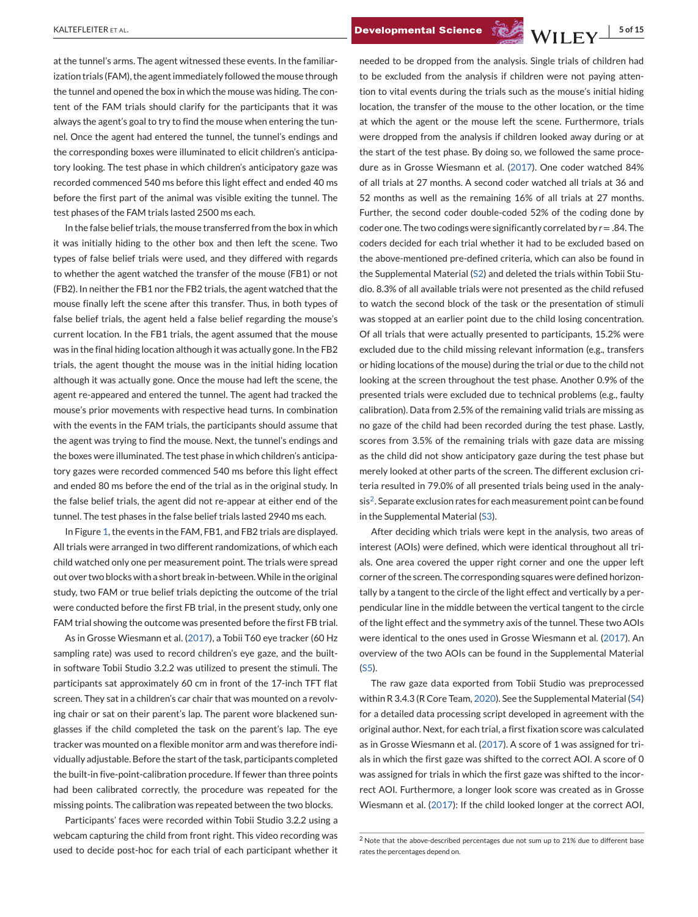at the tunnel's arms. The agent witnessed these events. In the familiarization trials (FAM), the agent immediately followed the mouse through the tunnel and opened the box in which the mouse was hiding. The content of the FAM trials should clarify for the participants that it was always the agent's goal to try to find the mouse when entering the tunnel. Once the agent had entered the tunnel, the tunnel's endings and the corresponding boxes were illuminated to elicit children's anticipatory looking. The test phase in which children's anticipatory gaze was recorded commenced 540 ms before this light effect and ended 40 ms before the first part of the animal was visible exiting the tunnel. The test phases of the FAM trials lasted 2500 ms each.

In the false belief trials, the mouse transferred from the box in which it was initially hiding to the other box and then left the scene. Two types of false belief trials were used, and they differed with regards to whether the agent watched the transfer of the mouse (FB1) or not (FB2). In neither the FB1 nor the FB2 trials, the agent watched that the mouse finally left the scene after this transfer. Thus, in both types of false belief trials, the agent held a false belief regarding the mouse's current location. In the FB1 trials, the agent assumed that the mouse was in the final hiding location although it was actually gone. In the FB2 trials, the agent thought the mouse was in the initial hiding location although it was actually gone. Once the mouse had left the scene, the agent re-appeared and entered the tunnel. The agent had tracked the mouse's prior movements with respective head turns. In combination with the events in the FAM trials, the participants should assume that the agent was trying to find the mouse. Next, the tunnel's endings and the boxes were illuminated. The test phase in which children's anticipatory gazes were recorded commenced 540 ms before this light effect and ended 80 ms before the end of the trial as in the original study. In the false belief trials, the agent did not re-appear at either end of the tunnel. The test phases in the false belief trials lasted 2940 ms each.

In Figure [1,](#page-5-0) the events in the FAM, FB1, and FB2 trials are displayed. All trials were arranged in two different randomizations, of which each child watched only one per measurement point. The trials were spread out over two blocks with a short break in-between.While in the original study, two FAM or true belief trials depicting the outcome of the trial were conducted before the first FB trial, in the present study, only one FAM trial showing the outcome was presented before the first FB trial.

As in Grosse Wiesmann et al. [\(2017\)](#page-13-0), a Tobii T60 eye tracker (60 Hz sampling rate) was used to record children's eye gaze, and the builtin software Tobii Studio 3.2.2 was utilized to present the stimuli. The participants sat approximately 60 cm in front of the 17-inch TFT flat screen. They sat in a children's car chair that was mounted on a revolving chair or sat on their parent's lap. The parent wore blackened sunglasses if the child completed the task on the parent's lap. The eye tracker was mounted on a flexible monitor arm and was therefore individually adjustable. Before the start of the task, participants completed the built-in five-point-calibration procedure. If fewer than three points had been calibrated correctly, the procedure was repeated for the missing points. The calibration was repeated between the two blocks.

Participants' faces were recorded within Tobii Studio 3.2.2 using a webcam capturing the child from front right. This video recording was used to decide post-hoc for each trial of each participant whether it

needed to be dropped from the analysis. Single trials of children had to be excluded from the analysis if children were not paying attention to vital events during the trials such as the mouse's initial hiding location, the transfer of the mouse to the other location, or the time at which the agent or the mouse left the scene. Furthermore, trials were dropped from the analysis if children looked away during or at the start of the test phase. By doing so, we followed the same procedure as in Grosse Wiesmann et al. [\(2017\)](#page-13-0). One coder watched 84% of all trials at 27 months. A second coder watched all trials at 36 and 52 months as well as the remaining 16% of all trials at 27 months. Further, the second coder double-coded 52% of the coding done by coder one. The two codings were significantly correlated by *r* = .84. The coders decided for each trial whether it had to be excluded based on the above-mentioned pre-defined criteria, which can also be found in the Supplemental Material (S2) and deleted the trials within Tobii Studio. 8.3% of all available trials were not presented as the child refused to watch the second block of the task or the presentation of stimuli was stopped at an earlier point due to the child losing concentration. Of all trials that were actually presented to participants, 15.2% were excluded due to the child missing relevant information (e.g., transfers or hiding locations of the mouse) during the trial or due to the child not looking at the screen throughout the test phase. Another 0.9% of the presented trials were excluded due to technical problems (e.g., faulty calibration). Data from 2.5% of the remaining valid trials are missing as no gaze of the child had been recorded during the test phase. Lastly, scores from 3.5% of the remaining trials with gaze data are missing as the child did not show anticipatory gaze during the test phase but merely looked at other parts of the screen. The different exclusion criteria resulted in 79.0% of all presented trials being used in the analysis2. Separate exclusion rates for each measurement point can be found in the Supplemental Material (S3).

After deciding which trials were kept in the analysis, two areas of interest (AOIs) were defined, which were identical throughout all trials. One area covered the upper right corner and one the upper left corner of the screen. The corresponding squares were defined horizontally by a tangent to the circle of the light effect and vertically by a perpendicular line in the middle between the vertical tangent to the circle of the light effect and the symmetry axis of the tunnel. These two AOIs were identical to the ones used in Grosse Wiesmann et al. [\(2017\)](#page-13-0). An overview of the two AOIs can be found in the Supplemental Material (S5).

The raw gaze data exported from Tobii Studio was preprocessed within R 3.4.3 (R Core Team, [2020\)](#page-13-0). See the Supplemental Material (S4) for a detailed data processing script developed in agreement with the original author. Next, for each trial, a first fixation score was calculated as in Grosse Wiesmann et al. [\(2017\)](#page-13-0). A score of 1 was assigned for trials in which the first gaze was shifted to the correct AOI. A score of 0 was assigned for trials in which the first gaze was shifted to the incorrect AOI. Furthermore, a longer look score was created as in Grosse Wiesmann et al. [\(2017\)](#page-13-0): If the child looked longer at the correct AOI,

<sup>&</sup>lt;sup>2</sup> Note that the above-described percentages due not sum up to 21% due to different base rates the percentages depend on.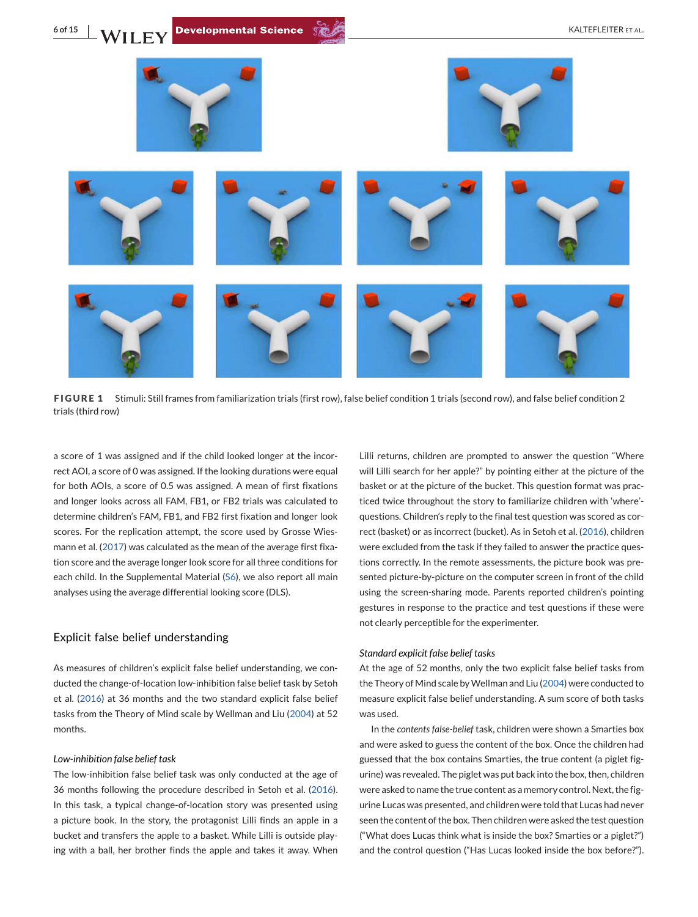<span id="page-5-0"></span>

**FIGURE 1** Stimuli: Still frames from familiarization trials (first row), false belief condition 1 trials (second row), and false belief condition 2 trials (third row)

a score of 1 was assigned and if the child looked longer at the incorrect AOI, a score of 0 was assigned. If the looking durations were equal for both AOIs, a score of 0.5 was assigned. A mean of first fixations and longer looks across all FAM, FB1, or FB2 trials was calculated to determine children's FAM, FB1, and FB2 first fixation and longer look scores. For the replication attempt, the score used by Grosse Wiesmann et al. [\(2017\)](#page-13-0) was calculated as the mean of the average first fixation score and the average longer look score for all three conditions for each child. In the Supplemental Material (S6), we also report all main analyses using the average differential looking score (DLS).

# Explicit false belief understanding

As measures of children's explicit false belief understanding, we conducted the change-of-location low-inhibition false belief task by Setoh et al. [\(2016\)](#page-13-0) at 36 months and the two standard explicit false belief tasks from the Theory of Mind scale by Wellman and Liu [\(2004\)](#page-14-0) at 52 months.

#### *Low-inhibition false belief task*

The low-inhibition false belief task was only conducted at the age of 36 months following the procedure described in Setoh et al. [\(2016\)](#page-13-0). In this task, a typical change-of-location story was presented using a picture book. In the story, the protagonist Lilli finds an apple in a bucket and transfers the apple to a basket. While Lilli is outside playing with a ball, her brother finds the apple and takes it away. When

Lilli returns, children are prompted to answer the question "Where will Lilli search for her apple?" by pointing either at the picture of the basket or at the picture of the bucket. This question format was practiced twice throughout the story to familiarize children with 'where' questions. Children's reply to the final test question was scored as correct (basket) or as incorrect (bucket). As in Setoh et al. [\(2016\)](#page-13-0), children were excluded from the task if they failed to answer the practice questions correctly. In the remote assessments, the picture book was presented picture-by-picture on the computer screen in front of the child using the screen-sharing mode. Parents reported children's pointing gestures in response to the practice and test questions if these were not clearly perceptible for the experimenter.

#### *Standard explicit false belief tasks*

At the age of 52 months, only the two explicit false belief tasks from the Theory of Mind scale byWellman and Liu [\(2004\)](#page-14-0) were conducted to measure explicit false belief understanding. A sum score of both tasks was used.

In the *contents false-belief* task, children were shown a Smarties box and were asked to guess the content of the box. Once the children had guessed that the box contains Smarties, the true content (a piglet figurine) was revealed. The piglet was put back into the box, then, children were asked to name the true content as a memory control. Next, the figurine Lucas was presented, and children were told that Lucas had never seen the content of the box. Then children were asked the test question ("What does Lucas think what is inside the box? Smarties or a piglet?") and the control question ("Has Lucas looked inside the box before?").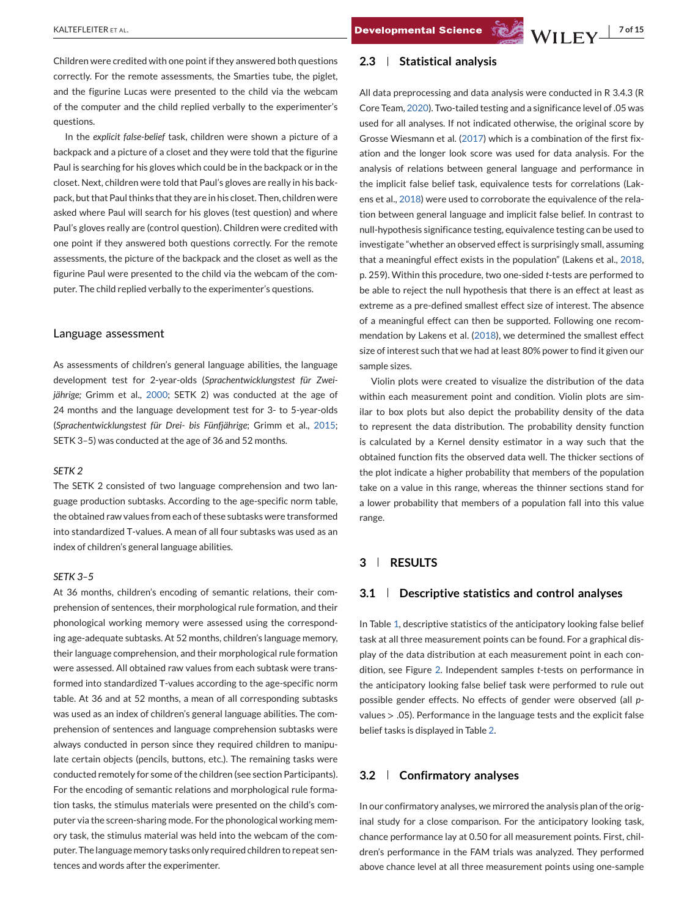Children were credited with one point if they answered both questions correctly. For the remote assessments, the Smarties tube, the piglet, and the figurine Lucas were presented to the child via the webcam of the computer and the child replied verbally to the experimenter's questions.

In the *explicit false-belief* task, children were shown a picture of a backpack and a picture of a closet and they were told that the figurine Paul is searching for his gloves which could be in the backpack or in the closet. Next, children were told that Paul's gloves are really in his backpack, but that Paul thinks that they are in his closet. Then, children were asked where Paul will search for his gloves (test question) and where Paul's gloves really are (control question). Children were credited with one point if they answered both questions correctly. For the remote assessments, the picture of the backpack and the closet as well as the figurine Paul were presented to the child via the webcam of the computer. The child replied verbally to the experimenter's questions.

#### Language assessment

As assessments of children's general language abilities, the language development test for 2-year-olds (*Sprachentwicklungstest für Zweijährige;* Grimm et al., [2000;](#page-13-0) SETK 2) was conducted at the age of 24 months and the language development test for 3- to 5-year-olds (*Sprachentwicklungstest für Drei- bis Fünfjährige*; Grimm et al., [2015;](#page-13-0) SETK 3–5) was conducted at the age of 36 and 52 months.

#### *SETK 2*

The SETK 2 consisted of two language comprehension and two language production subtasks. According to the age-specific norm table, the obtained raw values from each of these subtasks were transformed into standardized T-values. A mean of all four subtasks was used as an index of children's general language abilities.

#### *SETK 3–5*

At 36 months, children's encoding of semantic relations, their comprehension of sentences, their morphological rule formation, and their phonological working memory were assessed using the corresponding age-adequate subtasks. At 52 months, children's language memory, their language comprehension, and their morphological rule formation were assessed. All obtained raw values from each subtask were transformed into standardized T-values according to the age-specific norm table. At 36 and at 52 months, a mean of all corresponding subtasks was used as an index of children's general language abilities. The comprehension of sentences and language comprehension subtasks were always conducted in person since they required children to manipulate certain objects (pencils, buttons, etc.). The remaining tasks were conducted remotely for some of the children (see section Participants). For the encoding of semantic relations and morphological rule formation tasks, the stimulus materials were presented on the child's computer via the screen-sharing mode. For the phonological working memory task, the stimulus material was held into the webcam of the computer. The language memory tasks only required children to repeat sentences and words after the experimenter.

## **2.3 Statistical analysis**

All data preprocessing and data analysis were conducted in R 3.4.3 (R Core Team, [2020\)](#page-13-0). Two-tailed testing and a significance level of .05 was used for all analyses. If not indicated otherwise, the original score by Grosse Wiesmann et al. [\(2017\)](#page-13-0) which is a combination of the first fixation and the longer look score was used for data analysis. For the analysis of relations between general language and performance in the implicit false belief task, equivalence tests for correlations (Lakens et al., [2018\)](#page-13-0) were used to corroborate the equivalence of the relation between general language and implicit false belief. In contrast to null-hypothesis significance testing, equivalence testing can be used to investigate "whether an observed effect is surprisingly small, assuming that a meaningful effect exists in the population" (Lakens et al., [2018,](#page-13-0) p. 259). Within this procedure, two one-sided *t*-tests are performed to be able to reject the null hypothesis that there is an effect at least as extreme as a pre-defined smallest effect size of interest. The absence of a meaningful effect can then be supported. Following one recommendation by Lakens et al. [\(2018\)](#page-13-0), we determined the smallest effect size of interest such that we had at least 80% power to find it given our sample sizes.

Violin plots were created to visualize the distribution of the data within each measurement point and condition. Violin plots are similar to box plots but also depict the probability density of the data to represent the data distribution. The probability density function is calculated by a Kernel density estimator in a way such that the obtained function fits the observed data well. The thicker sections of the plot indicate a higher probability that members of the population take on a value in this range, whereas the thinner sections stand for a lower probability that members of a population fall into this value range.

# **3 RESULTS**

# **3.1 Descriptive statistics and control analyses**

In Table [1,](#page-7-0) descriptive statistics of the anticipatory looking false belief task at all three measurement points can be found. For a graphical display of the data distribution at each measurement point in each condition, see Figure [2.](#page-7-0) Independent samples *t*-tests on performance in the anticipatory looking false belief task were performed to rule out possible gender effects. No effects of gender were observed (all *p*values > .05). Performance in the language tests and the explicit false belief tasks is displayed in Table [2.](#page-8-0)

# **3.2 Confirmatory analyses**

In our confirmatory analyses, we mirrored the analysis plan of the original study for a close comparison. For the anticipatory looking task, chance performance lay at 0.50 for all measurement points. First, children's performance in the FAM trials was analyzed. They performed above chance level at all three measurement points using one-sample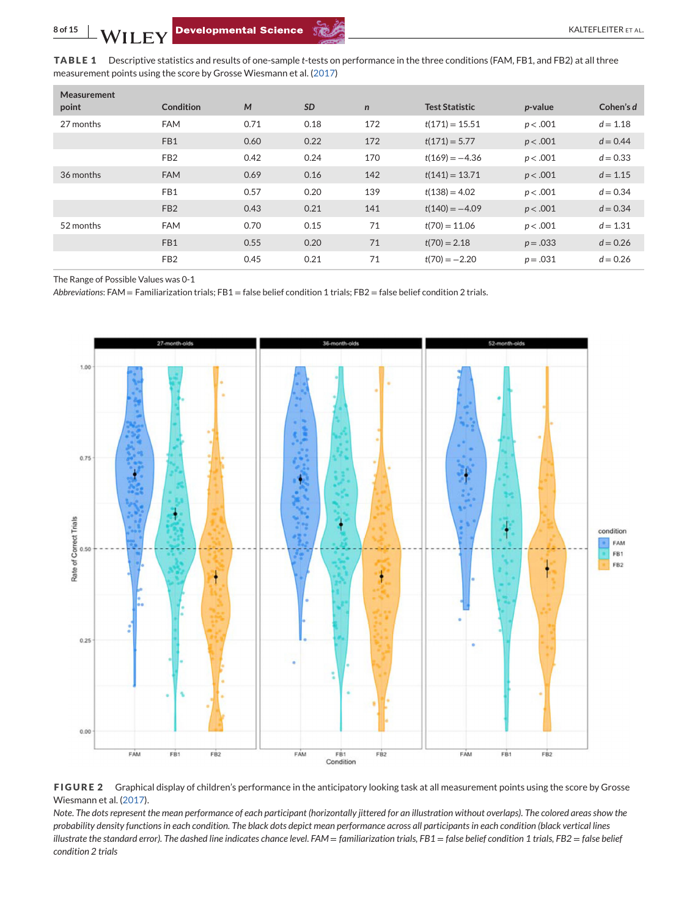<span id="page-7-0"></span>

**TABLE 1** Descriptive statistics and results of one-sample *<sup>t</sup>*-tests on performance in the three conditions (FAM, FB1, and FB2) at all three measurement points using the score by Grosse Wiesmann et al. [\(2017\)](#page-13-0)

| Measurement<br>point | Condition       | M    | <b>SD</b> | $\mathsf{n}$ | <b>Test Statistic</b> | p-value    | Cohen's d  |
|----------------------|-----------------|------|-----------|--------------|-----------------------|------------|------------|
| 27 months            | <b>FAM</b>      | 0.71 | 0.18      | 172          | $t(171) = 15.51$      | p < .001   | $d = 1.18$ |
|                      | FB1             | 0.60 | 0.22      | 172          | $t(171) = 5.77$       | p < .001   | $d = 0.44$ |
|                      | FB <sub>2</sub> | 0.42 | 0.24      | 170          | $t(169) = -4.36$      | p < .001   | $d = 0.33$ |
| 36 months            | <b>FAM</b>      | 0.69 | 0.16      | 142          | $t(141) = 13.71$      | p < .001   | $d = 1.15$ |
|                      | FB1             | 0.57 | 0.20      | 139          | $t(138) = 4.02$       | p < .001   | $d = 0.34$ |
|                      | FB <sub>2</sub> | 0.43 | 0.21      | 141          | $t(140) = -4.09$      | p < .001   | $d = 0.34$ |
| 52 months            | <b>FAM</b>      | 0.70 | 0.15      | 71           | $t(70) = 11.06$       | p < .001   | $d = 1.31$ |
|                      | FB1             | 0.55 | 0.20      | 71           | $t(70) = 2.18$        | $p = .033$ | $d = 0.26$ |
|                      | FB <sub>2</sub> | 0.45 | 0.21      | 71           | $t(70) = -2.20$       | $p = .031$ | $d = 0.26$ |

The Range of Possible Values was 0-1

*Abbreviations*: FAM = Familiarization trials; FB1 = false belief condition 1 trials; FB2 = false belief condition 2 trials.





*Note*. *The dots represent the mean performance of each participant (horizontally jittered for an illustration without overlaps). The colored areas show the probability density functions in each condition. The black dots depict mean performance across all participants in each condition (black vertical lines illustrate the standard error). The dashed line indicates chance level. FAM* = *familiarization trials, FB1* = *false belief condition 1 trials, FB2* = *false belief condition 2 trials*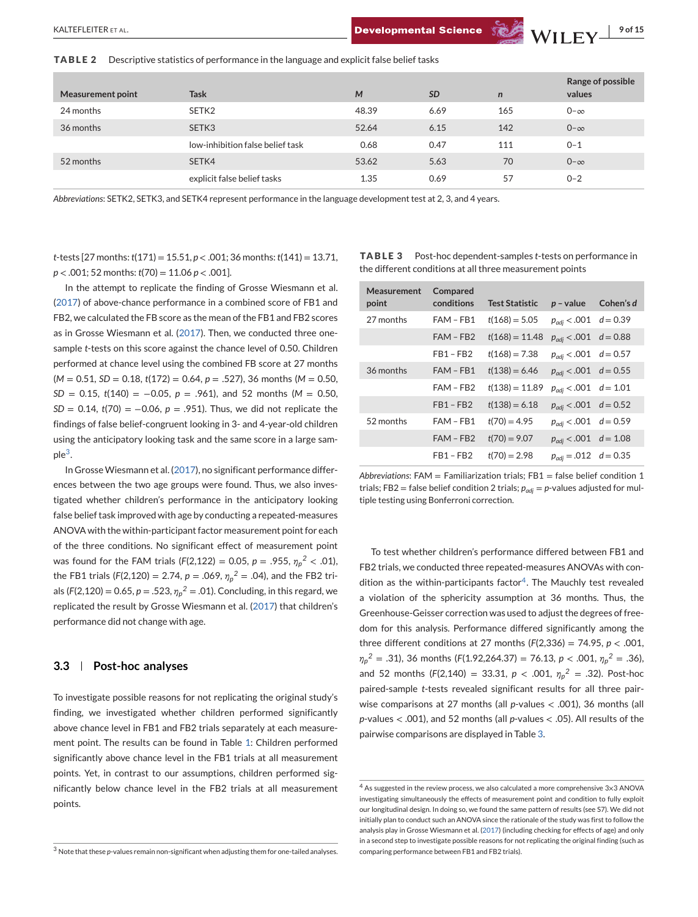<span id="page-8-0"></span>KALTEFLEITER ET AL. **9 of 15**<br>**Developmental Science Straw MII EV** 9 of 15

**TABLE 2** Descriptive statistics of performance in the language and explicit false belief tasks

| <b>Measurement point</b> | <b>Task</b>                      | M     | <b>SD</b> | $\mathsf{n}$ | Range of possible<br>values |
|--------------------------|----------------------------------|-------|-----------|--------------|-----------------------------|
| 24 months                | SETK2                            | 48.39 | 6.69      | 165          | $0-\infty$                  |
| 36 months                | SETK3                            | 52.64 | 6.15      | 142          | $0-\infty$                  |
|                          | low-inhibition false belief task | 0.68  | 0.47      | 111          | $0 - 1$                     |
| 52 months                | SETK4                            | 53.62 | 5.63      | 70           | $0-\infty$                  |
|                          | explicit false belief tasks      | 1.35  | 0.69      | 57           | $0 - 2$                     |

*Abbreviations*: SETK2, SETK3, and SETK4 represent performance in the language development test at 2, 3, and 4 years.

*t*-tests [27 months:*t*(171) = 15.51, *p* < .001; 36 months:*t*(141) = 13.71, *p* < .001; 52 months: *t*(70) = 11.06 *p* < .001].

In the attempt to replicate the finding of Grosse Wiesmann et al. [\(2017\)](#page-13-0) of above-chance performance in a combined score of FB1 and FB2, we calculated the FB score as the mean of the FB1 and FB2 scores as in Grosse Wiesmann et al. [\(2017\)](#page-13-0). Then, we conducted three onesample *t*-tests on this score against the chance level of 0.50. Children performed at chance level using the combined FB score at 27 months  $(M = 0.51, SD = 0.18, t(172) = 0.64, p = .527$ , 36 months  $(M = 0.50,$ *SD* = 0.15, *t*(140) = −0.05, *p* = .961), and 52 months (*M* = 0.50, *SD* = 0.14, *t*(70) = −0.06, *p* = .951). Thus, we did not replicate the findings of false belief-congruent looking in 3- and 4-year-old children using the anticipatory looking task and the same score in a large sample3.

In Grosse Wiesmann et al. [\(2017\)](#page-13-0), no significant performance differences between the two age groups were found. Thus, we also investigated whether children's performance in the anticipatory looking false belief task improved with age by conducting a repeated-measures ANOVA with the within-participant factor measurement point for each of the three conditions. No significant effect of measurement point was found for the FAM trials ( $F(2,122) = 0.05$ ,  $p = .955$ ,  $\eta_p^2 < .01$ ), the FB1 trials ( $F(2,120) = 2.74$ ,  $p = .069$ ,  $\eta_p^2 = .04$ ), and the FB2 trials (*F*(2,120) = 0.65, *p* = .523, *η<sup>p</sup> <sup>2</sup>* = .01). Concluding, in this regard, we replicated the result by Grosse Wiesmann et al. [\(2017\)](#page-13-0) that children's performance did not change with age.

## **3.3 Post-hoc analyses**

To investigate possible reasons for not replicating the original study's finding, we investigated whether children performed significantly above chance level in FB1 and FB2 trials separately at each measurement point. The results can be found in Table [1:](#page-7-0) Children performed significantly above chance level in the FB1 trials at all measurement points. Yet, in contrast to our assumptions, children performed significantly below chance level in the FB2 trials at all measurement points.

| <b>TABLE 3</b> Post-hoc dependent-samples t-tests on performance in |
|---------------------------------------------------------------------|
| the different conditions at all three measurement points            |

| <b>Measurement</b><br>point | Compared<br>conditions | <b>Test Statistic</b> | $p$ – value Cohen's d           |  |
|-----------------------------|------------------------|-----------------------|---------------------------------|--|
| 27 months                   | $FAM - FB1$            | $t(168) = 5.05$       | $p_{adj} < .001$ $d = 0.39$     |  |
|                             | $FAM - FB2$            | $t(168) = 11.48$      | $p_{adi}$ < .001 d = 0.88       |  |
|                             | $FB1 - FB2$            | $t(168) = 7.38$       | $p_{adi}$ < .001 d = 0.57       |  |
| 36 months                   | $FAM - FB1$            | $t(138) = 6.46$       | $p_{adi}$ < .001 d = 0.55       |  |
|                             | $FAM - FB2$            | $t(138) = 11.89$      | $p_{adi}$ < .001 d = 1.01       |  |
|                             | $FB1 - FB2$            | $t(138) = 6.18$       | $p_{adi}$ < .001 d = 0.52       |  |
| 52 months                   | $FAM - FB1$            | $t(70) = 4.95$        | $p_{adi}$ < .001 $d = 0.59$     |  |
|                             | $FAM - FB2$            | $t(70) = 9.07$        | $p_{adj} < .001$ d = 1.08       |  |
|                             | $FB1 - FB2$            | $t(70) = 2.98$        | $p_{adi} = .012 \quad d = 0.35$ |  |

*Abbreviations*: FAM = Familiarization trials; FB1 = false belief condition 1 trials; FB2 = false belief condition 2 trials;  $p_{adj} = p$ -values adjusted for multiple testing using Bonferroni correction.

To test whether children's performance differed between FB1 and FB2 trials, we conducted three repeated-measures ANOVAs with condition as the within-participants factor<sup>4</sup>. The Mauchly test revealed a violation of the sphericity assumption at 36 months. Thus, the Greenhouse-Geisser correction was used to adjust the degrees of freedom for this analysis. Performance differed significantly among the three different conditions at 27 months (*F*(2,336) = 74.95, *p* < .001, *ηp <sup>2</sup>* = .31), 36 months (*F*(1.92,264.37) = 76.13, *p* < .001, *η<sup>p</sup> <sup>2</sup>* = .36), and 52 months ( $F(2,140) = 33.31$ ,  $p < .001$ ,  $\eta_p^2 = .32$ ). Post-hoc paired-sample *t*-tests revealed significant results for all three pairwise comparisons at 27 months (all *p*-values < .001), 36 months (all *p*-values < .001), and 52 months (all *p*-values < .05). All results of the pairwise comparisons are displayed in Table 3.

<sup>3</sup> Note that these *p*-values remain non-significant when adjusting them for one-tailed analyses.

<sup>4</sup> As suggested in the review process, we also calculated a more comprehensive 3×3 ANOVA investigating simultaneously the effects of measurement point and condition to fully exploit our longitudinal design. In doing so, we found the same pattern of results (see S7). We did not initially plan to conduct such an ANOVA since the rationale of the study was first to follow the analysis play in Grosse Wiesmann et al. [\(2017\)](#page-13-0) (including checking for effects of age) and only in a second step to investigate possible reasons for not replicating the original finding (such as comparing performance between FB1 and FB2 trials).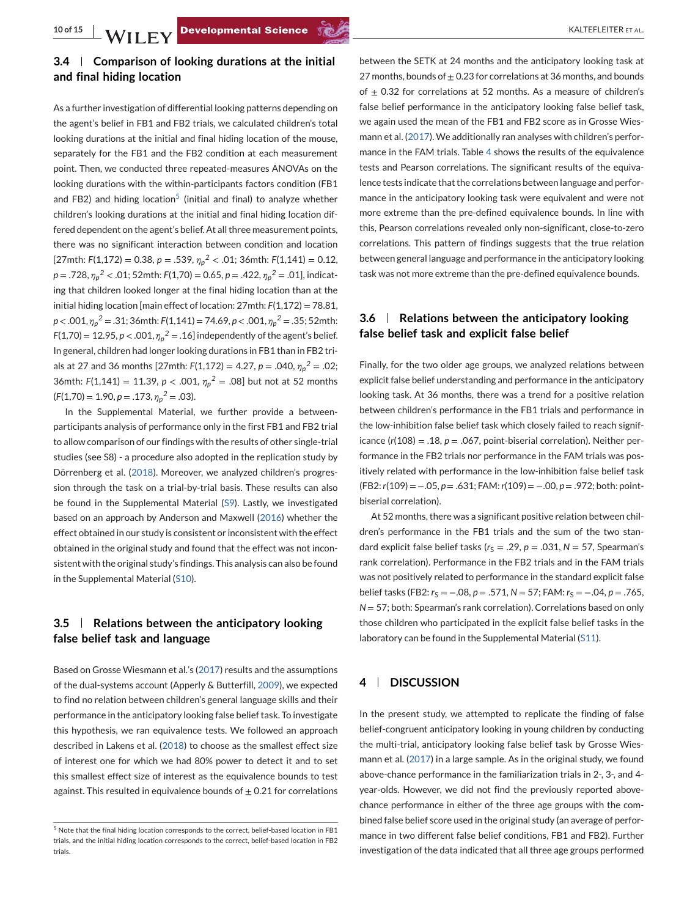# **3.4 Comparison of looking durations at the initial and final hiding location**

As a further investigation of differential looking patterns depending on the agent's belief in FB1 and FB2 trials, we calculated children's total looking durations at the initial and final hiding location of the mouse, separately for the FB1 and the FB2 condition at each measurement point. Then, we conducted three repeated-measures ANOVAs on the looking durations with the within-participants factors condition (FB1 and FB2) and hiding location<sup>5</sup> (initial and final) to analyze whether children's looking durations at the initial and final hiding location differed dependent on the agent's belief. At all three measurement points, there was no significant interaction between condition and location [27mth: *F*(1,172) = 0.38, *p* = .539, *η<sup>p</sup> <sup>2</sup>* < .01; 36mth: *F*(1,141) = 0.12, *p* = .728, *η<sup>p</sup> <sup>2</sup>* < .01; 52mth: *F*(1,70) = 0.65, *p* = .422, *η<sup>p</sup> <sup>2</sup>* = .01], indicating that children looked longer at the final hiding location than at the initial hiding location [main effect of location: 27mth: *F*(1,172) = 78.81, *p* < .001, *η<sup>p</sup> <sup>2</sup>* = .31; 36mth: *F*(1,141) = 74.69, *p* < .001, *η<sup>p</sup> <sup>2</sup>* = .35; 52mth: *F*(1,70) = 12.95, *p* < .001, *η<sup>p</sup> <sup>2</sup>* = .16] independently of the agent's belief. In general, children had longer looking durations in FB1 than in FB2 trials at 27 and 36 months [27mth: *F*(1,172) = 4.27, *p* = .040, *η<sup>p</sup> <sup>2</sup>* = .02; 36mth: *F*(1,141) = 11.39, *p* < .001, *η<sup>p</sup> <sup>2</sup>* = .08] but not at 52 months  $(F(1,70) = 1.90, p = .173, \eta_p^2 = .03).$ 

In the Supplemental Material, we further provide a betweenparticipants analysis of performance only in the first FB1 and FB2 trial to allow comparison of our findings with the results of other single-trial studies (see S8) - a procedure also adopted in the replication study by Dörrenberg et al. [\(2018\)](#page-12-0). Moreover, we analyzed children's progression through the task on a trial-by-trial basis. These results can also be found in the Supplemental Material (S9). Lastly, we investigated based on an approach by Anderson and Maxwell [\(2016\)](#page-12-0) whether the effect obtained in our study is consistent or inconsistent with the effect obtained in the original study and found that the effect was not inconsistent with the original study's findings. This analysis can also be found in the Supplemental Material (S10).

# **3.5 Relations between the anticipatory looking false belief task and language**

Based on Grosse Wiesmann et al.'s [\(2017\)](#page-13-0) results and the assumptions of the dual-systems account (Apperly & Butterfill, [2009\)](#page-12-0), we expected to find no relation between children's general language skills and their performance in the anticipatory looking false belief task. To investigate this hypothesis, we ran equivalence tests. We followed an approach described in Lakens et al. [\(2018\)](#page-13-0) to choose as the smallest effect size of interest one for which we had 80% power to detect it and to set this smallest effect size of interest as the equivalence bounds to test against. This resulted in equivalence bounds of  $\pm$  0.21 for correlations

between the SETK at 24 months and the anticipatory looking task at 27 months, bounds of  $\pm$  0.23 for correlations at 36 months, and bounds of  $\pm$  0.32 for correlations at 52 months. As a measure of children's false belief performance in the anticipatory looking false belief task, we again used the mean of the FB1 and FB2 score as in Grosse Wiesmann et al. [\(2017\)](#page-13-0). We additionally ran analyses with children's performance in the FAM trials. Table [4](#page-10-0) shows the results of the equivalence tests and Pearson correlations. The significant results of the equivalence tests indicate that the correlations between language and performance in the anticipatory looking task were equivalent and were not more extreme than the pre-defined equivalence bounds. In line with this, Pearson correlations revealed only non-significant, close-to-zero correlations. This pattern of findings suggests that the true relation between general language and performance in the anticipatory looking task was not more extreme than the pre-defined equivalence bounds.

# **3.6 Relations between the anticipatory looking false belief task and explicit false belief**

Finally, for the two older age groups, we analyzed relations between explicit false belief understanding and performance in the anticipatory looking task. At 36 months, there was a trend for a positive relation between children's performance in the FB1 trials and performance in the low-inhibition false belief task which closely failed to reach significance (*r*(108) = .18, *p* = .067, point-biserial correlation). Neither performance in the FB2 trials nor performance in the FAM trials was positively related with performance in the low-inhibition false belief task (FB2:*r*(109) = −.05, *p* = .631; FAM:*r*(109) = −.00, *p* = .972; both: pointbiserial correlation).

At 52 months, there was a significant positive relation between children's performance in the FB1 trials and the sum of the two standard explicit false belief tasks ( $r_S = .29$ ,  $p = .031$ ,  $N = 57$ , Spearman's rank correlation). Performance in the FB2 trials and in the FAM trials was not positively related to performance in the standard explicit false belief tasks (FB2:  $r_S = -.08$ ,  $p = .571$ ,  $N = 57$ ; FAM:  $r_S = -.04$ ,  $p = .765$ , *N* = 57; both: Spearman's rank correlation). Correlations based on only those children who participated in the explicit false belief tasks in the laboratory can be found in the Supplemental Material (S11).

# **4 DISCUSSION**

In the present study, we attempted to replicate the finding of false belief-congruent anticipatory looking in young children by conducting the multi-trial, anticipatory looking false belief task by Grosse Wiesmann et al. [\(2017\)](#page-13-0) in a large sample. As in the original study, we found above-chance performance in the familiarization trials in 2-, 3-, and 4 year-olds. However, we did not find the previously reported abovechance performance in either of the three age groups with the combined false belief score used in the original study (an average of performance in two different false belief conditions, FB1 and FB2). Further investigation of the data indicated that all three age groups performed

<sup>5</sup> Note that the final hiding location corresponds to the correct, belief-based location in FB1 trials, and the initial hiding location corresponds to the correct, belief-based location in FB2 trials.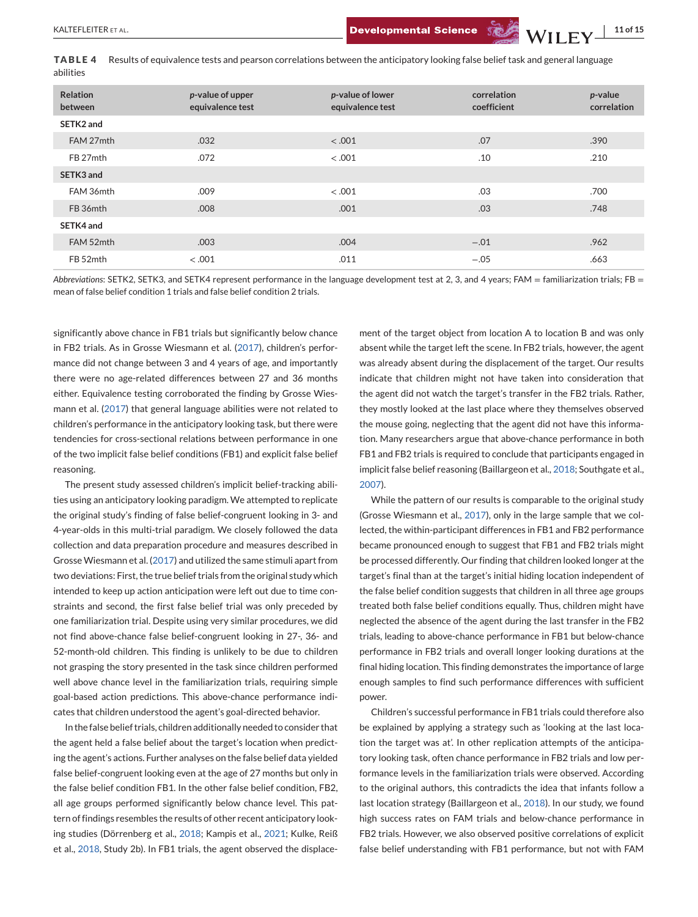<span id="page-10-0"></span>**TABLE 4** Results of equivalence tests and pearson correlations between the anticipatory looking false belief task and general language abilities

| <b>Relation</b><br><b>between</b> | p-value of upper<br>equivalence test | p-value of lower<br>equivalence test | correlation<br>coefficient | $p$ -value<br>correlation |
|-----------------------------------|--------------------------------------|--------------------------------------|----------------------------|---------------------------|
| SETK2 and                         |                                      |                                      |                            |                           |
| FAM 27mth                         | .032                                 | $-.001$                              | .07                        | .390                      |
| FB 27mth                          | .072                                 | $-.001$                              | .10                        | .210                      |
| SETK3 and                         |                                      |                                      |                            |                           |
| FAM 36mth                         | .009                                 | $-.001$                              | .03                        | .700                      |
| FB 36mth                          | .008                                 | .001                                 | .03                        | .748                      |
| SETK4 and                         |                                      |                                      |                            |                           |
| FAM 52mth                         | .003                                 | .004                                 | $-.01$                     | .962                      |
| FB 52mth                          | $-.001$                              | .011                                 | $-.05$                     | .663                      |

*Abbreviations*: SETK2, SETK3, and SETK4 represent performance in the language development test at 2, 3, and 4 years; FAM = familiarization trials; FB = mean of false belief condition 1 trials and false belief condition 2 trials.

significantly above chance in FB1 trials but significantly below chance in FB2 trials. As in Grosse Wiesmann et al. [\(2017\)](#page-13-0), children's performance did not change between 3 and 4 years of age, and importantly there were no age-related differences between 27 and 36 months either. Equivalence testing corroborated the finding by Grosse Wiesmann et al. [\(2017\)](#page-13-0) that general language abilities were not related to children's performance in the anticipatory looking task, but there were tendencies for cross-sectional relations between performance in one of the two implicit false belief conditions (FB1) and explicit false belief reasoning.

The present study assessed children's implicit belief-tracking abilities using an anticipatory looking paradigm. We attempted to replicate the original study's finding of false belief-congruent looking in 3- and 4-year-olds in this multi-trial paradigm. We closely followed the data collection and data preparation procedure and measures described in Grosse Wiesmann et al. [\(2017\)](#page-13-0) and utilized the same stimuli apart from two deviations: First, the true belief trials from the original study which intended to keep up action anticipation were left out due to time constraints and second, the first false belief trial was only preceded by one familiarization trial. Despite using very similar procedures, we did not find above-chance false belief-congruent looking in 27-, 36- and 52-month-old children. This finding is unlikely to be due to children not grasping the story presented in the task since children performed well above chance level in the familiarization trials, requiring simple goal-based action predictions. This above-chance performance indicates that children understood the agent's goal-directed behavior.

In the false belief trials, children additionally needed to consider that the agent held a false belief about the target's location when predicting the agent's actions. Further analyses on the false belief data yielded false belief-congruent looking even at the age of 27 months but only in the false belief condition FB1. In the other false belief condition, FB2, all age groups performed significantly below chance level. This pattern of findings resembles the results of other recent anticipatory looking studies (Dörrenberg et al., [2018;](#page-12-0) Kampis et al., [2021;](#page-13-0) Kulke, Reiß et al., [2018,](#page-13-0) Study 2b). In FB1 trials, the agent observed the displacement of the target object from location A to location B and was only absent while the target left the scene. In FB2 trials, however, the agent was already absent during the displacement of the target. Our results indicate that children might not have taken into consideration that the agent did not watch the target's transfer in the FB2 trials. Rather, they mostly looked at the last place where they themselves observed the mouse going, neglecting that the agent did not have this information. Many researchers argue that above-chance performance in both FB1 and FB2 trials is required to conclude that participants engaged in implicit false belief reasoning (Baillargeon et al., [2018;](#page-12-0) Southgate et al., [2007\)](#page-14-0).

While the pattern of our results is comparable to the original study (Grosse Wiesmann et al., [2017\)](#page-13-0), only in the large sample that we collected, the within-participant differences in FB1 and FB2 performance became pronounced enough to suggest that FB1 and FB2 trials might be processed differently. Our finding that children looked longer at the target's final than at the target's initial hiding location independent of the false belief condition suggests that children in all three age groups treated both false belief conditions equally. Thus, children might have neglected the absence of the agent during the last transfer in the FB2 trials, leading to above-chance performance in FB1 but below-chance performance in FB2 trials and overall longer looking durations at the final hiding location. This finding demonstrates the importance of large enough samples to find such performance differences with sufficient power.

Children's successful performance in FB1 trials could therefore also be explained by applying a strategy such as 'looking at the last location the target was at'. In other replication attempts of the anticipatory looking task, often chance performance in FB2 trials and low performance levels in the familiarization trials were observed. According to the original authors, this contradicts the idea that infants follow a last location strategy (Baillargeon et al., [2018\)](#page-12-0). In our study, we found high success rates on FAM trials and below-chance performance in FB2 trials. However, we also observed positive correlations of explicit false belief understanding with FB1 performance, but not with FAM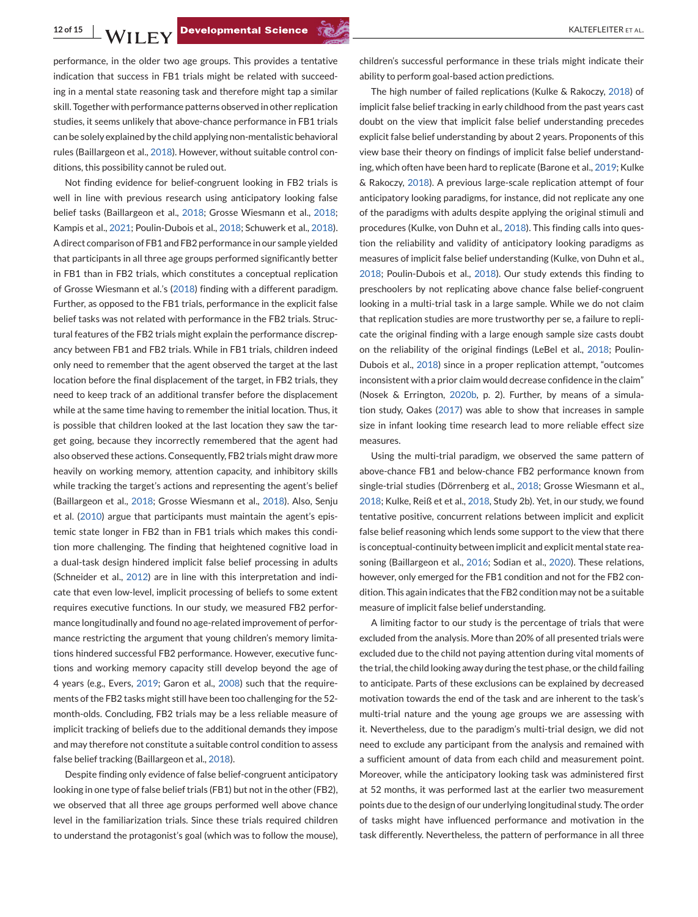performance, in the older two age groups. This provides a tentative indication that success in FB1 trials might be related with succeeding in a mental state reasoning task and therefore might tap a similar skill. Together with performance patterns observed in other replication studies, it seems unlikely that above-chance performance in FB1 trials can be solely explained by the child applying non-mentalistic behavioral rules (Baillargeon et al., [2018\)](#page-12-0). However, without suitable control conditions, this possibility cannot be ruled out.

Not finding evidence for belief-congruent looking in FB2 trials is well in line with previous research using anticipatory looking false belief tasks (Baillargeon et al., [2018;](#page-12-0) Grosse Wiesmann et al., [2018;](#page-13-0) Kampis et al., [2021;](#page-13-0) Poulin-Dubois et al., [2018;](#page-13-0) Schuwerk et al., [2018\)](#page-13-0). A direct comparison of FB1 and FB2 performance in our sample yielded that participants in all three age groups performed significantly better in FB1 than in FB2 trials, which constitutes a conceptual replication of Grosse Wiesmann et al.'s [\(2018\)](#page-13-0) finding with a different paradigm. Further, as opposed to the FB1 trials, performance in the explicit false belief tasks was not related with performance in the FB2 trials. Structural features of the FB2 trials might explain the performance discrepancy between FB1 and FB2 trials. While in FB1 trials, children indeed only need to remember that the agent observed the target at the last location before the final displacement of the target, in FB2 trials, they need to keep track of an additional transfer before the displacement while at the same time having to remember the initial location. Thus, it is possible that children looked at the last location they saw the target going, because they incorrectly remembered that the agent had also observed these actions. Consequently, FB2 trials might draw more heavily on working memory, attention capacity, and inhibitory skills while tracking the target's actions and representing the agent's belief (Baillargeon et al., [2018;](#page-12-0) Grosse Wiesmann et al., [2018\)](#page-13-0). Also, Senju et al. [\(2010\)](#page-13-0) argue that participants must maintain the agent's epistemic state longer in FB2 than in FB1 trials which makes this condition more challenging. The finding that heightened cognitive load in a dual-task design hindered implicit false belief processing in adults (Schneider et al., [2012\)](#page-13-0) are in line with this interpretation and indicate that even low-level, implicit processing of beliefs to some extent requires executive functions. In our study, we measured FB2 performance longitudinally and found no age-related improvement of performance restricting the argument that young children's memory limitations hindered successful FB2 performance. However, executive functions and working memory capacity still develop beyond the age of 4 years (e.g., Evers, [2019;](#page-12-0) Garon et al., [2008\)](#page-13-0) such that the requirements of the FB2 tasks might still have been too challenging for the 52 month-olds. Concluding, FB2 trials may be a less reliable measure of implicit tracking of beliefs due to the additional demands they impose and may therefore not constitute a suitable control condition to assess false belief tracking (Baillargeon et al., [2018\)](#page-12-0).

Despite finding only evidence of false belief-congruent anticipatory looking in one type of false belief trials (FB1) but not in the other (FB2), we observed that all three age groups performed well above chance level in the familiarization trials. Since these trials required children to understand the protagonist's goal (which was to follow the mouse),

children's successful performance in these trials might indicate their ability to perform goal-based action predictions.

The high number of failed replications (Kulke & Rakoczy, [2018\)](#page-13-0) of implicit false belief tracking in early childhood from the past years cast doubt on the view that implicit false belief understanding precedes explicit false belief understanding by about 2 years. Proponents of this view base their theory on findings of implicit false belief understanding, which often have been hard to replicate (Barone et al., [2019;](#page-12-0) Kulke & Rakoczy, [2018\)](#page-13-0). A previous large-scale replication attempt of four anticipatory looking paradigms, for instance, did not replicate any one of the paradigms with adults despite applying the original stimuli and procedures (Kulke, von Duhn et al., [2018\)](#page-13-0). This finding calls into question the reliability and validity of anticipatory looking paradigms as measures of implicit false belief understanding (Kulke, von Duhn et al., [2018;](#page-13-0) Poulin-Dubois et al., [2018\)](#page-13-0). Our study extends this finding to preschoolers by not replicating above chance false belief-congruent looking in a multi-trial task in a large sample. While we do not claim that replication studies are more trustworthy per se, a failure to replicate the original finding with a large enough sample size casts doubt on the reliability of the original findings (LeBel et al., [2018;](#page-13-0) Poulin-Dubois et al., [2018\)](#page-13-0) since in a proper replication attempt, "outcomes inconsistent with a prior claim would decrease confidence in the claim" (Nosek & Errington, [2020b,](#page-13-0) p. 2). Further, by means of a simulation study, Oakes [\(2017\)](#page-13-0) was able to show that increases in sample size in infant looking time research lead to more reliable effect size measures.

Using the multi-trial paradigm, we observed the same pattern of above-chance FB1 and below-chance FB2 performance known from single-trial studies (Dörrenberg et al., [2018;](#page-12-0) Grosse Wiesmann et al., [2018;](#page-13-0) Kulke, Reiß et et al., [2018,](#page-13-0) Study 2b). Yet, in our study, we found tentative positive, concurrent relations between implicit and explicit false belief reasoning which lends some support to the view that there is conceptual-continuity between implicit and explicit mental state reasoning (Baillargeon et al., [2016;](#page-12-0) Sodian et al., [2020\)](#page-13-0). These relations, however, only emerged for the FB1 condition and not for the FB2 condition. This again indicates that the FB2 condition may not be a suitable measure of implicit false belief understanding.

A limiting factor to our study is the percentage of trials that were excluded from the analysis. More than 20% of all presented trials were excluded due to the child not paying attention during vital moments of the trial, the child looking away during the test phase, or the child failing to anticipate. Parts of these exclusions can be explained by decreased motivation towards the end of the task and are inherent to the task's multi-trial nature and the young age groups we are assessing with it. Nevertheless, due to the paradigm's multi-trial design, we did not need to exclude any participant from the analysis and remained with a sufficient amount of data from each child and measurement point. Moreover, while the anticipatory looking task was administered first at 52 months, it was performed last at the earlier two measurement points due to the design of our underlying longitudinal study. The order of tasks might have influenced performance and motivation in the task differently. Nevertheless, the pattern of performance in all three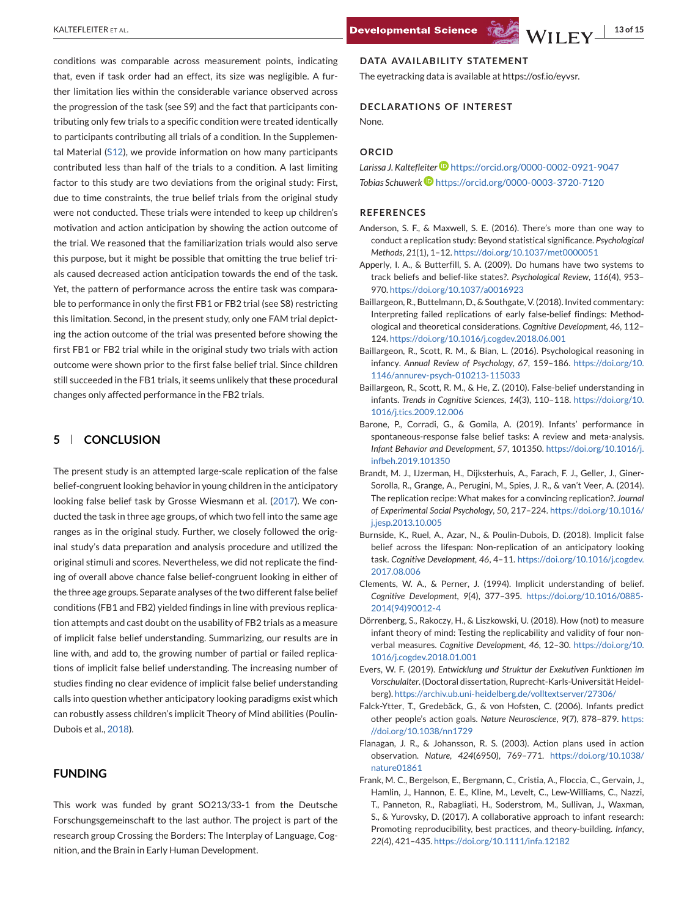<span id="page-12-0"></span>KALTEFLEITER ET AL. **13 of 15**<br>**Developmental Science Strategy MILEV** 13 of 15

conditions was comparable across measurement points, indicating that, even if task order had an effect, its size was negligible. A further limitation lies within the considerable variance observed across the progression of the task (see S9) and the fact that participants contributing only few trials to a specific condition were treated identically to participants contributing all trials of a condition. In the Supplemental Material (S12), we provide information on how many participants contributed less than half of the trials to a condition. A last limiting factor to this study are two deviations from the original study: First, due to time constraints, the true belief trials from the original study were not conducted. These trials were intended to keep up children's motivation and action anticipation by showing the action outcome of the trial. We reasoned that the familiarization trials would also serve this purpose, but it might be possible that omitting the true belief trials caused decreased action anticipation towards the end of the task. Yet, the pattern of performance across the entire task was comparable to performance in only the first FB1 or FB2 trial (see S8) restricting this limitation. Second, in the present study, only one FAM trial depicting the action outcome of the trial was presented before showing the first FB1 or FB2 trial while in the original study two trials with action outcome were shown prior to the first false belief trial. Since children still succeeded in the FB1 trials, it seems unlikely that these procedural changes only affected performance in the FB2 trials.

# **5 CONCLUSION**

The present study is an attempted large-scale replication of the false belief-congruent looking behavior in young children in the anticipatory looking false belief task by Grosse Wiesmann et al. [\(2017\)](#page-13-0). We conducted the task in three age groups, of which two fell into the same age ranges as in the original study. Further, we closely followed the original study's data preparation and analysis procedure and utilized the original stimuli and scores. Nevertheless, we did not replicate the finding of overall above chance false belief-congruent looking in either of the three age groups. Separate analyses of the two different false belief conditions (FB1 and FB2) yielded findings in line with previous replication attempts and cast doubt on the usability of FB2 trials as a measure of implicit false belief understanding. Summarizing, our results are in line with, and add to, the growing number of partial or failed replications of implicit false belief understanding. The increasing number of studies finding no clear evidence of implicit false belief understanding calls into question whether anticipatory looking paradigms exist which can robustly assess children's implicit Theory of Mind abilities (Poulin-Dubois et al., [2018\)](#page-13-0).

# **FUNDING**

This work was funded by grant SO213/33-1 from the Deutsche Forschungsgemeinschaft to the last author. The project is part of the research group Crossing the Borders: The Interplay of Language, Cognition, and the Brain in Early Human Development.

# **DATA AVAILABILITY STATEMENT**

The eyetracking data is available at https://osf.io/eyvsr.

#### **DECLARATIONS OF INTEREST**

None.

# **ORCID**

*Larissa J. Kaltefleite[r](https://orcid.org/0000-0002-0921-9047)* <https://orcid.org/0000-0002-0921-9047> *Tobias Schuwerk* <https://orcid.org/0000-0003-3720-7120>

#### **REFERENCES**

- Anderson, S. F., & Maxwell, S. E. (2016). There's more than one way to conduct a replication study: Beyond statistical significance. *Psychological Methods*, *21*(1), 1–12. <https://doi.org/10.1037/met0000051>
- Apperly, I. A., & Butterfill, S. A. (2009). Do humans have two systems to track beliefs and belief-like states?. *Psychological Review*, *116*(4), 953– 970. <https://doi.org/10.1037/a0016923>
- Baillargeon, R., Buttelmann, D., & Southgate, V. (2018). Invited commentary: Interpreting failed replications of early false-belief findings: Methodological and theoretical considerations. *Cognitive Development*, *46*, 112– 124. <https://doi.org/10.1016/j.cogdev.2018.06.001>
- Baillargeon, R., Scott, R. M., & Bian, L. (2016). Psychological reasoning in infancy. *Annual Review of Psychology*, *67*, 159–186. [https://doi.org/10.](https://doi.org/10.1146/annurev-psych-010213-115033) [1146/annurev-psych-010213-115033](https://doi.org/10.1146/annurev-psych-010213-115033)
- Baillargeon, R., Scott, R. M., & He, Z. (2010). False-belief understanding in infants. *Trends in Cognitive Sciences*, *14*(3), 110–118. [https://doi.org/10.](https://doi.org/10.1016/j.tics.2009.12.006) [1016/j.tics.2009.12.006](https://doi.org/10.1016/j.tics.2009.12.006)
- Barone, P., Corradi, G., & Gomila, A. (2019). Infants' performance in spontaneous-response false belief tasks: A review and meta-analysis. *Infant Behavior and Development*, *57*, 101350. [https://doi.org/10.1016/j.](https://doi.org/10.1016/j.infbeh.2019.101350) [infbeh.2019.101350](https://doi.org/10.1016/j.infbeh.2019.101350)
- Brandt, M. J., IJzerman, H., Dijksterhuis, A., Farach, F. J., Geller, J., Giner-Sorolla, R., Grange, A., Perugini, M., Spies, J. R., & van't Veer, A. (2014). The replication recipe: What makes for a convincing replication?. *Journal of Experimental Social Psychology*, *50*, 217–224. [https://doi.org/10.1016/](https://doi.org/10.1016/j.jesp.2013.10.005) [j.jesp.2013.10.005](https://doi.org/10.1016/j.jesp.2013.10.005)
- Burnside, K., Ruel, A., Azar, N., & Poulin-Dubois, D. (2018). Implicit false belief across the lifespan: Non-replication of an anticipatory looking task. *Cognitive Development*, *46*, 4–11. [https://doi.org/10.1016/j.cogdev.](https://doi.org/10.1016/j.cogdev.2017.08.006) [2017.08.006](https://doi.org/10.1016/j.cogdev.2017.08.006)
- Clements, W. A., & Perner, J. (1994). Implicit understanding of belief. *Cognitive Development*, *9*(4), 377–395. [https://doi.org/10.1016/0885-](https://doi.org/10.1016/0885-2014(94)90012-4) [2014\(94\)90012-4](https://doi.org/10.1016/0885-2014(94)90012-4)
- Dörrenberg, S., Rakoczy, H., & Liszkowski, U. (2018). How (not) to measure infant theory of mind: Testing the replicability and validity of four nonverbal measures. *Cognitive Development*, *46*, 12–30. [https://doi.org/10.](https://doi.org/10.1016/j.cogdev.2018.01.001) [1016/j.cogdev.2018.01.001](https://doi.org/10.1016/j.cogdev.2018.01.001)
- Evers, W. F. (2019). *Entwicklung und Struktur der Exekutiven Funktionen im Vorschulalter*. (Doctoral dissertation, Ruprecht-Karls-Universität Heidelberg). <https://archiv.ub.uni-heidelberg.de/volltextserver/27306/>
- Falck-Ytter, T., Gredebäck, G., & von Hofsten, C. (2006). Infants predict other people's action goals. *Nature Neuroscience*, *9*(7), 878–879. [https:](https://doi.org/10.1038/nn1729) [//doi.org/10.1038/nn1729](https://doi.org/10.1038/nn1729)
- Flanagan, J. R., & Johansson, R. S. (2003). Action plans used in action observation. *Nature*, *424*(6950), 769–771. [https://doi.org/10.1038/](https://doi.org/10.1038/nature01861) [nature01861](https://doi.org/10.1038/nature01861)
- Frank, M. C., Bergelson, E., Bergmann, C., Cristia, A., Floccia, C., Gervain, J., Hamlin, J., Hannon, E. E., Kline, M., Levelt, C., Lew-Williams, C., Nazzi, T., Panneton, R., Rabagliati, H., Soderstrom, M., Sullivan, J., Waxman, S., & Yurovsky, D. (2017). A collaborative approach to infant research: Promoting reproducibility, best practices, and theory-building. *Infancy*, *22*(4), 421–435. <https://doi.org/10.1111/infa.12182>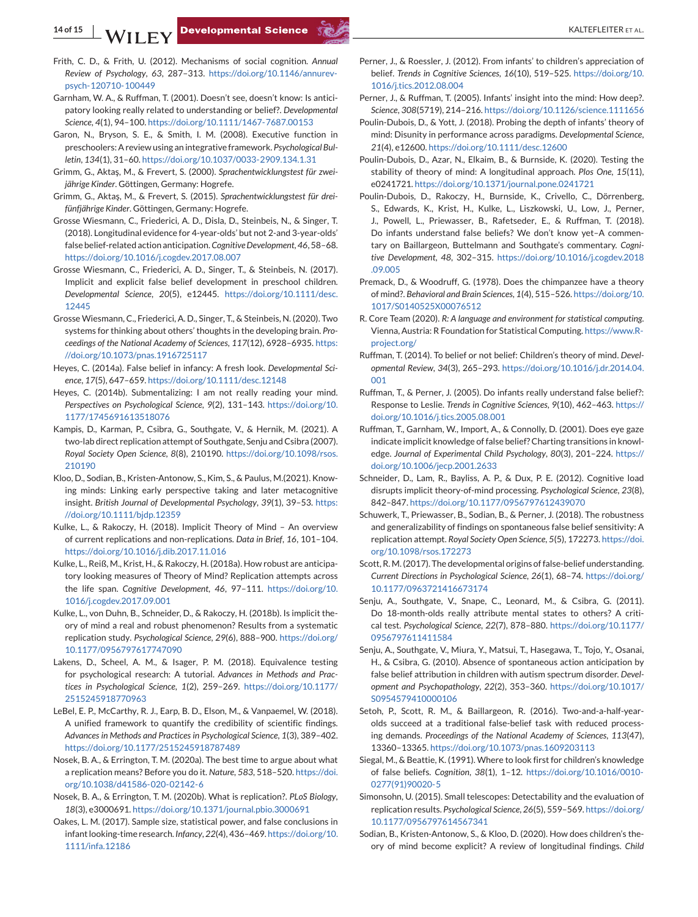- <span id="page-13-0"></span>Frith, C. D., & Frith, U. (2012). Mechanisms of social cognition. *Annual Review of Psychology*, *63*, 287–313. [https://doi.org/10.1146/annurev](https://doi.org/10.1146/annurev-psych-120710-100449)[psych-120710-100449](https://doi.org/10.1146/annurev-psych-120710-100449)
- Garnham, W. A., & Ruffman, T. (2001). Doesn't see, doesn't know: Is anticipatory looking really related to understanding or belief?. *Developmental Science*, *4*(1), 94–100. <https://doi.org/10.1111/1467-7687.00153>
- Garon, N., Bryson, S. E., & Smith, I. M. (2008). Executive function in preschoolers: A review using an integrative framework. *Psychological Bulletin*, *134*(1), 31–60. <https://doi.org/10.1037/0033-2909.134.1.31>
- Grimm, G., Aktaş, M., & Frevert, S. (2000). Sprachentwicklungstest für zwei*jährige Kinder*. Göttingen, Germany: Hogrefe.
- Grimm, G., Aktaş, M., & Frevert, S. (2015). Sprachentwicklungstest für drei*fünfjährige Kinder*. Göttingen, Germany: Hogrefe.
- Grosse Wiesmann, C., Friederici, A. D., Disla, D., Steinbeis, N., & Singer, T. (2018). Longitudinal evidence for 4-year-olds' but not 2-and 3-year-olds' false belief-related action anticipation.*Cognitive Development*, *46*, 58–68. <https://doi.org/10.1016/j.cogdev.2017.08.007>
- Grosse Wiesmann, C., Friederici, A. D., Singer, T., & Steinbeis, N. (2017). Implicit and explicit false belief development in preschool children. *Developmental Science*, *20*(5), e12445. [https://doi.org/10.1111/desc.](https://doi.org/10.1111/desc.12445) [12445](https://doi.org/10.1111/desc.12445)
- Grosse Wiesmann, C., Friederici, A. D., Singer, T., & Steinbeis, N. (2020). Two systems for thinking about others' thoughts in the developing brain. *Proceedings of the National Academy of Sciences*, *117*(12), 6928–6935. [https:](https://doi.org/10.1073/pnas.1916725117) [//doi.org/10.1073/pnas.1916725117](https://doi.org/10.1073/pnas.1916725117)
- Heyes, C. (2014a). False belief in infancy: A fresh look. *Developmental Science*, *17*(5), 647–659. <https://doi.org/10.1111/desc.12148>
- Heyes, C. (2014b). Submentalizing: I am not really reading your mind. *Perspectives on Psychological Science*, *9*(2), 131–143. [https://doi.org/10.](https://doi.org/10.1177/1745691613518076) [1177/1745691613518076](https://doi.org/10.1177/1745691613518076)
- Kampis, D., Karman, P., Csibra, G., Southgate, V., & Hernik, M. (2021). A two-lab direct replication attempt of Southgate, Senju and Csibra (2007). *Royal Society Open Science*, *8*(8), 210190. [https://doi.org/10.1098/rsos.](https://doi.org/10.1098/rsos.210190) [210190](https://doi.org/10.1098/rsos.210190)
- Kloo, D., Sodian, B., Kristen-Antonow, S., Kim, S., & Paulus, M.(2021). Knowing minds: Linking early perspective taking and later metacognitive insight. *British Journal of Developmental Psychology*, *39*(1), 39–53. [https:](https://doi.org/10.1111/bjdp.12359) [//doi.org/10.1111/bjdp.12359](https://doi.org/10.1111/bjdp.12359)
- Kulke, L., & Rakoczy, H. (2018). Implicit Theory of Mind An overview of current replications and non-replications. *Data in Brief*, *16*, 101–104. <https://doi.org/10.1016/j.dib.2017.11.016>
- Kulke, L., Reiß, M., Krist, H., & Rakoczy, H. (2018a). How robust are anticipatory looking measures of Theory of Mind? Replication attempts across the life span. *Cognitive Development*, *46*, 97–111. [https://doi.org/10.](https://doi.org/10.1016/j.cogdev.2017.09.001) [1016/j.cogdev.2017.09.001](https://doi.org/10.1016/j.cogdev.2017.09.001)
- Kulke, L., von Duhn, B., Schneider, D., & Rakoczy, H. (2018b). Is implicit theory of mind a real and robust phenomenon? Results from a systematic replication study. *Psychological Science*, *29*(6), 888–900. [https://doi.org/](https://doi.org/10.1177/0956797617747090) [10.1177/0956797617747090](https://doi.org/10.1177/0956797617747090)
- Lakens, D., Scheel, A. M., & Isager, P. M. (2018). Equivalence testing for psychological research: A tutorial. *Advances in Methods and Practices in Psychological Science*, *1*(2), 259–269. [https://doi.org/10.1177/](https://doi.org/10.1177/2515245918770963) [2515245918770963](https://doi.org/10.1177/2515245918770963)
- LeBel, E. P., McCarthy, R. J., Earp, B. D., Elson, M., & Vanpaemel, W. (2018). A unified framework to quantify the credibility of scientific findings. *Advances in Methods and Practices in Psychological Science*, *1*(3), 389–402. <https://doi.org/10.1177/2515245918787489>
- Nosek, B. A., & Errington, T. M. (2020a). The best time to argue about what a replication means? Before you do it. *Nature*, *583*, 518–520. [https://doi.](https://doi.org/10.1038/d41586-020-02142-6) [org/10.1038/d41586-020-02142-6](https://doi.org/10.1038/d41586-020-02142-6)
- Nosek, B. A., & Errington, T. M. (2020b). What is replication?. *PLoS Biology*, *18*(3), e3000691. <https://doi.org/10.1371/journal.pbio.3000691>
- Oakes, L. M. (2017). Sample size, statistical power, and false conclusions in infant looking-time research. *Infancy*, *22*(4), 436–469. [https://doi.org/10.](https://doi.org/10.1111/infa.12186) [1111/infa.12186](https://doi.org/10.1111/infa.12186)
- Perner, J., & Roessler, J. (2012). From infants' to children's appreciation of belief. *Trends in Cognitive Sciences*, *16*(10), 519–525. [https://doi.org/10.](https://doi.org/10.1016/j.tics.2012.08.004) [1016/j.tics.2012.08.004](https://doi.org/10.1016/j.tics.2012.08.004)
- Perner, J., & Ruffman, T. (2005). Infants' insight into the mind: How deep?. *Science*, *308*(5719), 214–216. <https://doi.org/10.1126/science.1111656>
- Poulin-Dubois, D., & Yott, J. (2018). Probing the depth of infants' theory of mind: Disunity in performance across paradigms. *Developmental Science*, *21*(4), e12600. <https://doi.org/10.1111/desc.12600>
- Poulin-Dubois, D., Azar, N., Elkaim, B., & Burnside, K. (2020). Testing the stability of theory of mind: A longitudinal approach. *Plos One*, *15*(11), e0241721. <https://doi.org/10.1371/journal.pone.0241721>
- Poulin-Dubois, D., Rakoczy, H., Burnside, K., Crivello, C., Dörrenberg, S., Edwards, K., Krist, H., Kulke, L., Liszkowski, U., Low, J., Perner, J., Powell, L., Priewasser, B., Rafetseder, E., & Ruffman, T. (2018). Do infants understand false beliefs? We don't know yet–A commentary on Baillargeon, Buttelmann and Southgate's commentary. *Cognitive Development*, *48*, 302–315. [https://doi.org/10.1016/j.cogdev.2018](https://doi.org/10.1016/j.cogdev.2018.09.005) [.09.005](https://doi.org/10.1016/j.cogdev.2018.09.005)
- Premack, D., & Woodruff, G. (1978). Does the chimpanzee have a theory of mind?. *Behavioral and Brain Sciences*, *1*(4), 515–526. [https://doi.org/10.](https://doi.org/10.1017/S0140525X00076512) [1017/S0140525X00076512](https://doi.org/10.1017/S0140525X00076512)
- R. Core Team (2020). *R: A language and environment for statistical computing*. Vienna, Austria: R Foundation for Statistical Computing. [https://www.R](https://www.R-project.org/)[project.org/](https://www.R-project.org/)
- Ruffman, T. (2014). To belief or not belief: Children's theory of mind. *Developmental Review*, *34*(3), 265–293. [https://doi.org/10.1016/j.dr.2014.04.](https://doi.org/10.1016/j.dr.2014.04.001) [001](https://doi.org/10.1016/j.dr.2014.04.001)
- Ruffman, T., & Perner, J. (2005). Do infants really understand false belief?: Response to Leslie. *Trends in Cognitive Sciences*, *9*(10), 462–463. [https://](https://doi.org/10.1016/j.tics.2005.08.001) [doi.org/10.1016/j.tics.2005.08.001](https://doi.org/10.1016/j.tics.2005.08.001)
- Ruffman, T., Garnham, W., Import, A., & Connolly, D. (2001). Does eye gaze indicate implicit knowledge of false belief? Charting transitions in knowledge. *Journal of Experimental Child Psychology*, *80*(3), 201–224. [https://](https://doi.org/10.1006/jecp.2001.2633) [doi.org/10.1006/jecp.2001.2633](https://doi.org/10.1006/jecp.2001.2633)
- Schneider, D., Lam, R., Bayliss, A. P., & Dux, P. E. (2012). Cognitive load disrupts implicit theory-of-mind processing. *Psychological Science*, *23*(8), 842–847. <https://doi.org/10.1177/0956797612439070>
- Schuwerk, T., Priewasser, B., Sodian, B., & Perner, J. (2018). The robustness and generalizability of findings on spontaneous false belief sensitivity: A replication attempt. *Royal Society Open Science*, *5*(5), 172273. [https://doi.](https://doi.org/10.1098/rsos.172273) [org/10.1098/rsos.172273](https://doi.org/10.1098/rsos.172273)
- Scott, R. M. (2017). The developmental origins of false-belief understanding. *Current Directions in Psychological Science*, *26*(1), 68–74. [https://doi.org/](https://doi.org/10.1177/0963721416673174) [10.1177/0963721416673174](https://doi.org/10.1177/0963721416673174)
- Senju, A., Southgate, V., Snape, C., Leonard, M., & Csibra, G. (2011). Do 18-month-olds really attribute mental states to others? A critical test. *Psychological Science*, *22*(7), 878–880. [https://doi.org/10.1177/](https://doi.org/10.1177/0956797611411584) [0956797611411584](https://doi.org/10.1177/0956797611411584)
- Senju, A., Southgate, V., Miura, Y., Matsui, T., Hasegawa, T., Tojo, Y., Osanai, H., & Csibra, G. (2010). Absence of spontaneous action anticipation by false belief attribution in children with autism spectrum disorder. *Development and Psychopathology*, *22*(2), 353–360. [https://doi.org/10.1017/](https://doi.org/10.1017/S0954579410000106) [S0954579410000106](https://doi.org/10.1017/S0954579410000106)
- Setoh, P., Scott, R. M., & Baillargeon, R. (2016). Two-and-a-half-yearolds succeed at a traditional false-belief task with reduced processing demands. *Proceedings of the National Academy of Sciences*, *113*(47), 13360–13365. <https://doi.org/10.1073/pnas.1609203113>
- Siegal, M., & Beattie, K. (1991). Where to look first for children's knowledge of false beliefs. *Cognition*, *38*(1), 1–12. [https://doi.org/10.1016/0010-](https://doi.org/10.1016/0010-0277(91)90020-5) [0277\(91\)90020-5](https://doi.org/10.1016/0010-0277(91)90020-5)
- Simonsohn, U. (2015). Small telescopes: Detectability and the evaluation of replication results. *Psychological Science*, *26*(5), 559–569. [https://doi.org/](https://doi.org/10.1177/0956797614567341) [10.1177/0956797614567341](https://doi.org/10.1177/0956797614567341)
- Sodian, B., Kristen-Antonow, S., & Kloo, D. (2020). How does children's theory of mind become explicit? A review of longitudinal findings. *Child*